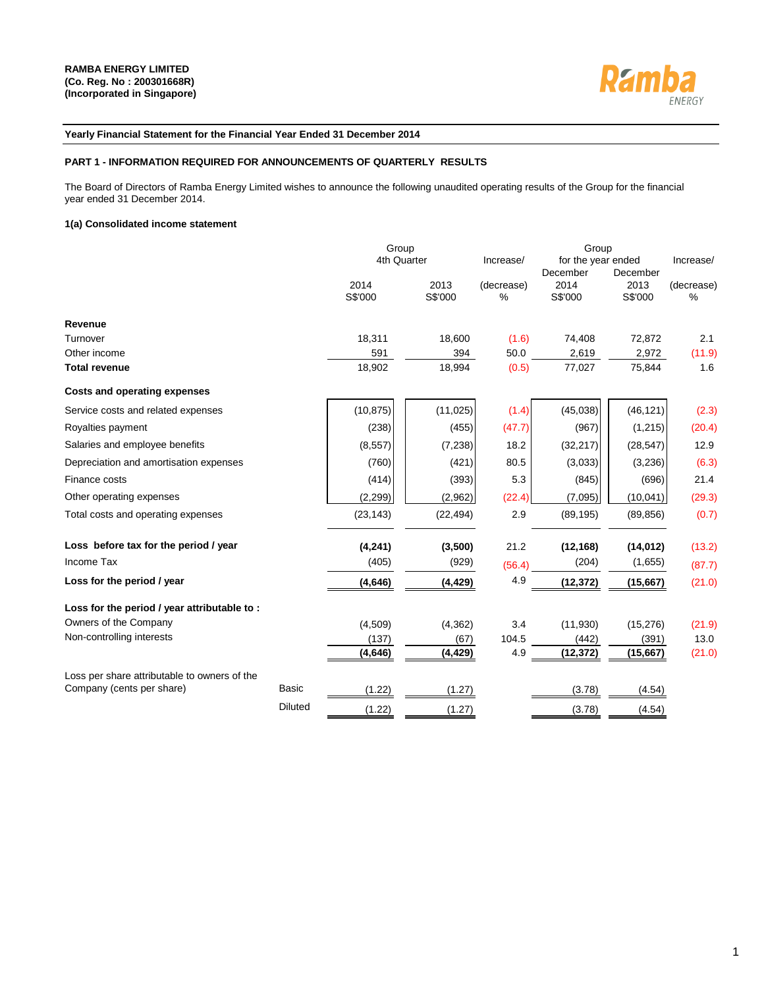

## **Yearly Financial Statement for the Financial Year Ended 31 December 2014**

### **PART 1 - INFORMATION REQUIRED FOR ANNOUNCEMENTS OF QUARTERLY RESULTS**

The Board of Directors of Ramba Energy Limited wishes to announce the following unaudited operating results of the Group for the financial year ended 31 December 2014.

### **1(a) Consolidated income statement**

|                                              |                | Group           |                 |                 |                             |                             |                 |
|----------------------------------------------|----------------|-----------------|-----------------|-----------------|-----------------------------|-----------------------------|-----------------|
|                                              |                | 4th Quarter     |                 | Increase/       | for the year ended          |                             | Increase/       |
|                                              |                | 2014<br>S\$'000 | 2013<br>S\$'000 | (decrease)<br>% | December<br>2014<br>S\$'000 | December<br>2013<br>S\$'000 | (decrease)<br>% |
| Revenue                                      |                |                 |                 |                 |                             |                             |                 |
| Turnover                                     |                | 18,311          | 18,600          | (1.6)           | 74,408                      | 72,872                      | 2.1             |
| Other income                                 |                | 591             | 394             | 50.0            | 2,619                       | 2,972                       | (11.9)          |
| <b>Total revenue</b>                         |                | 18,902          | 18,994          | (0.5)           | 77,027                      | 75,844                      | 1.6             |
| Costs and operating expenses                 |                |                 |                 |                 |                             |                             |                 |
| Service costs and related expenses           |                | (10, 875)       | (11, 025)       | (1.4)           | (45, 038)                   | (46, 121)                   | (2.3)           |
| Royalties payment                            |                | (238)           | (455)           | (47.7)          | (967)                       | (1, 215)                    | (20.4)          |
| Salaries and employee benefits               |                | (8, 557)        | (7, 238)        | 18.2            | (32, 217)                   | (28, 547)                   | 12.9            |
| Depreciation and amortisation expenses       |                | (760)           | (421)           | 80.5            | (3,033)                     | (3,236)                     | (6.3)           |
| Finance costs                                |                | (414)           | (393)           | 5.3             | (845)                       | (696)                       | 21.4            |
| Other operating expenses                     |                | (2, 299)        | (2,962)         | (22.4)          | (7,095)                     | (10,041)                    | (29.3)          |
| Total costs and operating expenses           |                | (23, 143)       | (22, 494)       | 2.9             | (89, 195)                   | (89, 856)                   | (0.7)           |
| Loss before tax for the period / year        |                | (4, 241)        | (3,500)         | 21.2            | (12, 168)                   | (14, 012)                   | (13.2)          |
| Income Tax                                   |                | (405)           | (929)           | (56.4)          | (204)                       | (1,655)                     | (87.7)          |
| Loss for the period / year                   |                | (4, 646)        | (4, 429)        | 4.9             | (12, 372)                   | (15, 667)                   | (21.0)          |
| Loss for the period / year attributable to : |                |                 |                 |                 |                             |                             |                 |
| Owners of the Company                        |                | (4,509)         | (4, 362)        | 3.4             | (11,930)                    | (15, 276)                   | (21.9)          |
| Non-controlling interests                    |                | (137)           | (67)            | 104.5           | (442)                       | (391)                       | 13.0            |
|                                              |                | (4,646)         | (4, 429)        | 4.9             | (12, 372)                   | (15,667)                    | (21.0)          |
| Loss per share attributable to owners of the |                |                 |                 |                 |                             |                             |                 |
| Company (cents per share)                    | <b>Basic</b>   | (1.22)          | (1.27)          |                 | (3.78)                      | (4.54)                      |                 |
|                                              | <b>Diluted</b> | (1.22)          | (1.27)          |                 | (3.78)                      | (4.54)                      |                 |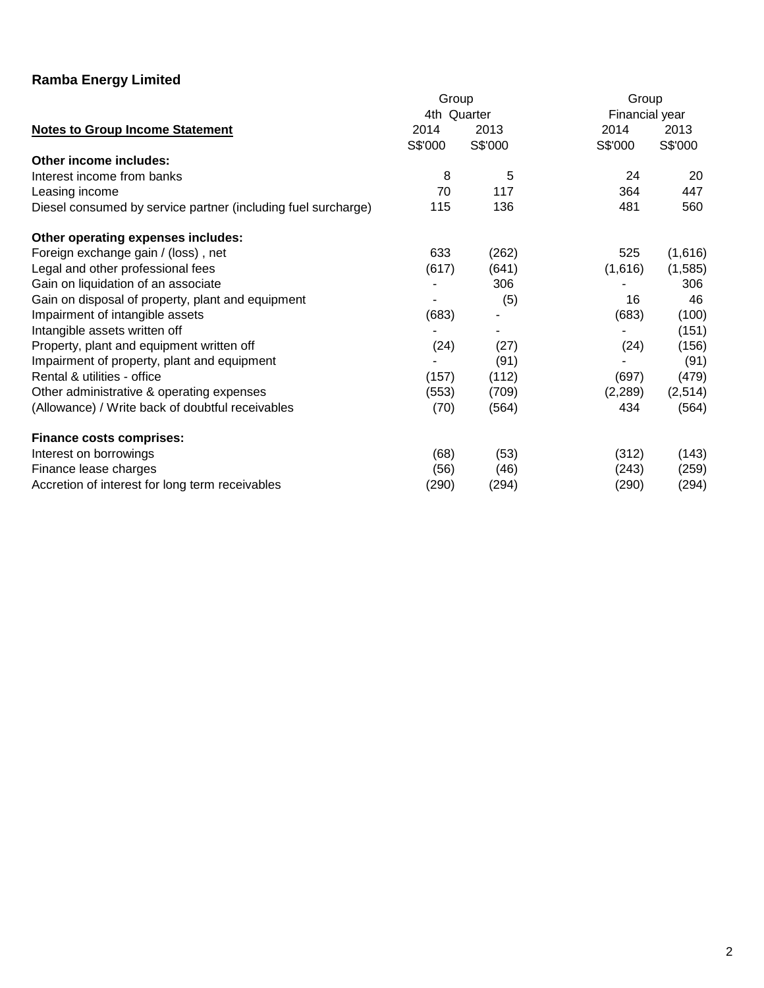|                                                               | Group       |         | Group          |         |
|---------------------------------------------------------------|-------------|---------|----------------|---------|
|                                                               | 4th Quarter |         | Financial year |         |
| <b>Notes to Group Income Statement</b>                        | 2014        | 2013    | 2014           | 2013    |
|                                                               | S\$'000     | S\$'000 | S\$'000        | S\$'000 |
| Other income includes:                                        |             |         |                |         |
| Interest income from banks                                    | 8           | 5       | 24             | 20      |
| Leasing income                                                | 70          | 117     | 364            | 447     |
| Diesel consumed by service partner (including fuel surcharge) | 115         | 136     | 481            | 560     |
| Other operating expenses includes:                            |             |         |                |         |
| Foreign exchange gain / (loss), net                           | 633         | (262)   | 525            | (1,616) |
| Legal and other professional fees                             | (617)       | (641)   | (1,616)        | (1,585) |
| Gain on liquidation of an associate                           |             | 306     |                | 306     |
| Gain on disposal of property, plant and equipment             |             | (5)     | 16             | 46      |
| Impairment of intangible assets                               | (683)       |         | (683)          | (100)   |
| Intangible assets written off                                 |             | ۰       |                | (151)   |
| Property, plant and equipment written off                     | (24)        | (27)    | (24)           | (156)   |
| Impairment of property, plant and equipment                   |             | (91)    |                | (91)    |
| Rental & utilities - office                                   | (157)       | (112)   | (697)          | (479)   |
| Other administrative & operating expenses                     | (553)       | (709)   | (2, 289)       | (2,514) |
| (Allowance) / Write back of doubtful receivables              | (70)        | (564)   | 434            | (564)   |
| <b>Finance costs comprises:</b>                               |             |         |                |         |
| Interest on borrowings                                        | (68)        | (53)    | (312)          | (143)   |
| Finance lease charges                                         | (56)        | (46)    | (243)          | (259)   |
| Accretion of interest for long term receivables               | (290)       | (294)   | (290)          | (294)   |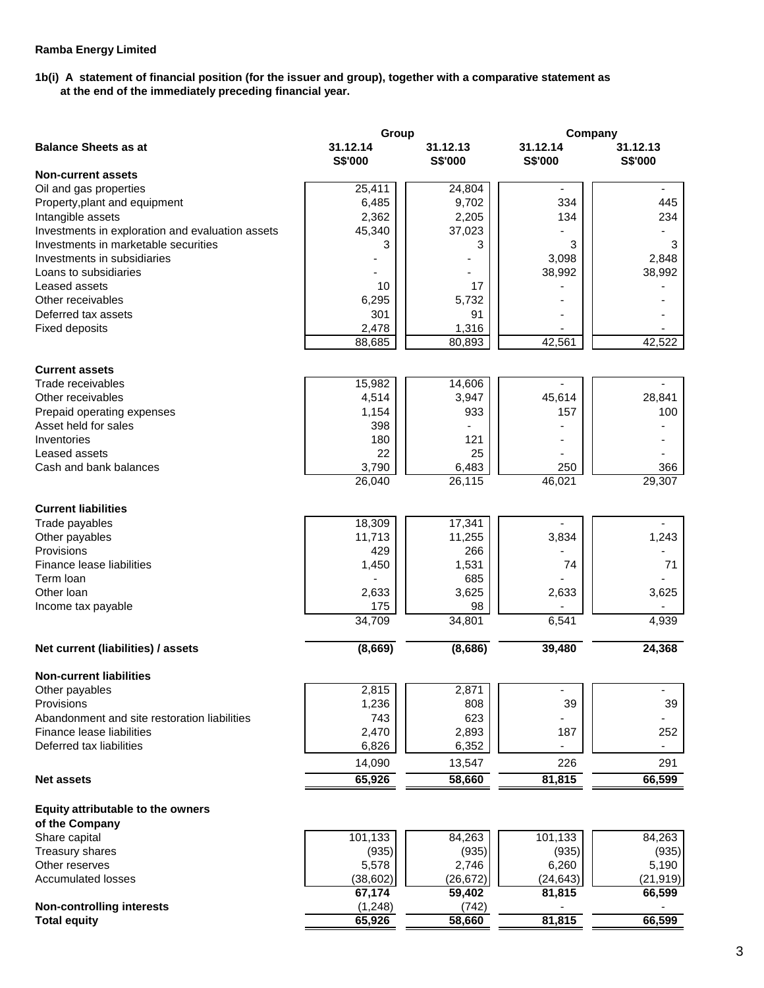# **1b(i) A statement of financial position (for the issuer and group), together with a comparative statement as at the end of the immediately preceding financial year.**

| <b>Balance Sheets as at</b><br>31.12.14<br>31.12.13<br>31.12.14<br>31.12.13<br>S\$'000<br>S\$'000<br>S\$'000<br>S\$'000<br><b>Non-current assets</b><br>25,411<br>Oil and gas properties<br>24,804<br>6,485<br>9,702<br>334<br>445<br>Property, plant and equipment<br>2,362<br>134<br>2,205<br>234<br>Intangible assets<br>Investments in exploration and evaluation assets<br>45,340<br>37,023<br>Investments in marketable securities<br>3<br>3<br>3<br>3<br>Investments in subsidiaries<br>3,098<br>2,848<br>38,992<br>38,992<br>Loans to subsidiaries<br>Leased assets<br>10<br>17<br>6,295<br>5,732<br>Other receivables<br>301<br>91<br>Deferred tax assets<br>2,478<br>1,316<br><b>Fixed deposits</b><br>42,561<br>42,522<br>88,685<br>80,893<br><b>Current assets</b><br>Trade receivables<br>15,982<br>14,606<br>3,947<br>Other receivables<br>4,514<br>45,614<br>28,841<br>1,154<br>933<br>157<br>100<br>Prepaid operating expenses<br>Asset held for sales<br>398<br>180<br>121<br>Inventories<br>22<br>25<br>Leased assets<br>Cash and bank balances<br>6,483<br>366<br>3,790<br>250<br>26,115<br>46,021<br>29,307<br>26,040<br><b>Current liabilities</b><br>18,309<br>17,341<br>Trade payables<br>3,834<br>1,243<br>11,713<br>11,255<br>Other payables<br>429<br>Provisions<br>266<br>Finance lease liabilities<br>1,531<br>74<br>1,450<br>71<br>Term loan<br>685<br>2,633<br>3,625<br>2,633<br>3,625<br>Other Ioan<br>175<br>98<br>Income tax payable<br>34,709<br>34,801<br>6,541<br>4,939<br>(8,669)<br>(8,686)<br>39,480<br>24,368<br>Net current (liabilities) / assets<br><b>Non-current liabilities</b><br>Other payables<br>2,815<br>2,871<br>1,236<br>808<br>39<br>39<br>Provisions<br>623<br>743<br>Abandonment and site restoration liabilities<br>2,470<br>Finance lease liabilities<br>2,893<br>187<br>252<br>6,826<br>Deferred tax liabilities<br>6,352<br>14,090<br>226<br>291<br>13,547<br>65,926<br>58,660<br>81,815<br>66,599<br><b>Net assets</b><br>Equity attributable to the owners<br>of the Company<br>101,133<br>101,133<br>84,263<br>Share capital<br>84,263<br>Treasury shares<br>(935)<br>(935)<br>(935)<br>(935)<br>Other reserves<br>5,578<br>2,746<br>6,260<br>5,190<br><b>Accumulated losses</b><br>(26, 672)<br>(24, 643)<br>(21, 919)<br>(38, 602)<br>67,174<br>66,599<br>59,402<br>81,815<br><b>Non-controlling interests</b><br>(1,248)<br>(742)<br>58,660<br>66,599<br><b>Total equity</b><br>65,926<br>81,815 | Group | Company |  |
|--------------------------------------------------------------------------------------------------------------------------------------------------------------------------------------------------------------------------------------------------------------------------------------------------------------------------------------------------------------------------------------------------------------------------------------------------------------------------------------------------------------------------------------------------------------------------------------------------------------------------------------------------------------------------------------------------------------------------------------------------------------------------------------------------------------------------------------------------------------------------------------------------------------------------------------------------------------------------------------------------------------------------------------------------------------------------------------------------------------------------------------------------------------------------------------------------------------------------------------------------------------------------------------------------------------------------------------------------------------------------------------------------------------------------------------------------------------------------------------------------------------------------------------------------------------------------------------------------------------------------------------------------------------------------------------------------------------------------------------------------------------------------------------------------------------------------------------------------------------------------------------------------------------------------------------------------------------------------------------------------------------------------------------------------------------------------------------------------------------------------------------------------------------------------------------------------------------------------------------------------------------------------------------------------------------------------------------------------------------------------------------------------------------------------------------------------------------------|-------|---------|--|
|                                                                                                                                                                                                                                                                                                                                                                                                                                                                                                                                                                                                                                                                                                                                                                                                                                                                                                                                                                                                                                                                                                                                                                                                                                                                                                                                                                                                                                                                                                                                                                                                                                                                                                                                                                                                                                                                                                                                                                                                                                                                                                                                                                                                                                                                                                                                                                                                                                                                    |       |         |  |
|                                                                                                                                                                                                                                                                                                                                                                                                                                                                                                                                                                                                                                                                                                                                                                                                                                                                                                                                                                                                                                                                                                                                                                                                                                                                                                                                                                                                                                                                                                                                                                                                                                                                                                                                                                                                                                                                                                                                                                                                                                                                                                                                                                                                                                                                                                                                                                                                                                                                    |       |         |  |
|                                                                                                                                                                                                                                                                                                                                                                                                                                                                                                                                                                                                                                                                                                                                                                                                                                                                                                                                                                                                                                                                                                                                                                                                                                                                                                                                                                                                                                                                                                                                                                                                                                                                                                                                                                                                                                                                                                                                                                                                                                                                                                                                                                                                                                                                                                                                                                                                                                                                    |       |         |  |
|                                                                                                                                                                                                                                                                                                                                                                                                                                                                                                                                                                                                                                                                                                                                                                                                                                                                                                                                                                                                                                                                                                                                                                                                                                                                                                                                                                                                                                                                                                                                                                                                                                                                                                                                                                                                                                                                                                                                                                                                                                                                                                                                                                                                                                                                                                                                                                                                                                                                    |       |         |  |
|                                                                                                                                                                                                                                                                                                                                                                                                                                                                                                                                                                                                                                                                                                                                                                                                                                                                                                                                                                                                                                                                                                                                                                                                                                                                                                                                                                                                                                                                                                                                                                                                                                                                                                                                                                                                                                                                                                                                                                                                                                                                                                                                                                                                                                                                                                                                                                                                                                                                    |       |         |  |
|                                                                                                                                                                                                                                                                                                                                                                                                                                                                                                                                                                                                                                                                                                                                                                                                                                                                                                                                                                                                                                                                                                                                                                                                                                                                                                                                                                                                                                                                                                                                                                                                                                                                                                                                                                                                                                                                                                                                                                                                                                                                                                                                                                                                                                                                                                                                                                                                                                                                    |       |         |  |
|                                                                                                                                                                                                                                                                                                                                                                                                                                                                                                                                                                                                                                                                                                                                                                                                                                                                                                                                                                                                                                                                                                                                                                                                                                                                                                                                                                                                                                                                                                                                                                                                                                                                                                                                                                                                                                                                                                                                                                                                                                                                                                                                                                                                                                                                                                                                                                                                                                                                    |       |         |  |
|                                                                                                                                                                                                                                                                                                                                                                                                                                                                                                                                                                                                                                                                                                                                                                                                                                                                                                                                                                                                                                                                                                                                                                                                                                                                                                                                                                                                                                                                                                                                                                                                                                                                                                                                                                                                                                                                                                                                                                                                                                                                                                                                                                                                                                                                                                                                                                                                                                                                    |       |         |  |
|                                                                                                                                                                                                                                                                                                                                                                                                                                                                                                                                                                                                                                                                                                                                                                                                                                                                                                                                                                                                                                                                                                                                                                                                                                                                                                                                                                                                                                                                                                                                                                                                                                                                                                                                                                                                                                                                                                                                                                                                                                                                                                                                                                                                                                                                                                                                                                                                                                                                    |       |         |  |
|                                                                                                                                                                                                                                                                                                                                                                                                                                                                                                                                                                                                                                                                                                                                                                                                                                                                                                                                                                                                                                                                                                                                                                                                                                                                                                                                                                                                                                                                                                                                                                                                                                                                                                                                                                                                                                                                                                                                                                                                                                                                                                                                                                                                                                                                                                                                                                                                                                                                    |       |         |  |
|                                                                                                                                                                                                                                                                                                                                                                                                                                                                                                                                                                                                                                                                                                                                                                                                                                                                                                                                                                                                                                                                                                                                                                                                                                                                                                                                                                                                                                                                                                                                                                                                                                                                                                                                                                                                                                                                                                                                                                                                                                                                                                                                                                                                                                                                                                                                                                                                                                                                    |       |         |  |
|                                                                                                                                                                                                                                                                                                                                                                                                                                                                                                                                                                                                                                                                                                                                                                                                                                                                                                                                                                                                                                                                                                                                                                                                                                                                                                                                                                                                                                                                                                                                                                                                                                                                                                                                                                                                                                                                                                                                                                                                                                                                                                                                                                                                                                                                                                                                                                                                                                                                    |       |         |  |
|                                                                                                                                                                                                                                                                                                                                                                                                                                                                                                                                                                                                                                                                                                                                                                                                                                                                                                                                                                                                                                                                                                                                                                                                                                                                                                                                                                                                                                                                                                                                                                                                                                                                                                                                                                                                                                                                                                                                                                                                                                                                                                                                                                                                                                                                                                                                                                                                                                                                    |       |         |  |
|                                                                                                                                                                                                                                                                                                                                                                                                                                                                                                                                                                                                                                                                                                                                                                                                                                                                                                                                                                                                                                                                                                                                                                                                                                                                                                                                                                                                                                                                                                                                                                                                                                                                                                                                                                                                                                                                                                                                                                                                                                                                                                                                                                                                                                                                                                                                                                                                                                                                    |       |         |  |
|                                                                                                                                                                                                                                                                                                                                                                                                                                                                                                                                                                                                                                                                                                                                                                                                                                                                                                                                                                                                                                                                                                                                                                                                                                                                                                                                                                                                                                                                                                                                                                                                                                                                                                                                                                                                                                                                                                                                                                                                                                                                                                                                                                                                                                                                                                                                                                                                                                                                    |       |         |  |
|                                                                                                                                                                                                                                                                                                                                                                                                                                                                                                                                                                                                                                                                                                                                                                                                                                                                                                                                                                                                                                                                                                                                                                                                                                                                                                                                                                                                                                                                                                                                                                                                                                                                                                                                                                                                                                                                                                                                                                                                                                                                                                                                                                                                                                                                                                                                                                                                                                                                    |       |         |  |
|                                                                                                                                                                                                                                                                                                                                                                                                                                                                                                                                                                                                                                                                                                                                                                                                                                                                                                                                                                                                                                                                                                                                                                                                                                                                                                                                                                                                                                                                                                                                                                                                                                                                                                                                                                                                                                                                                                                                                                                                                                                                                                                                                                                                                                                                                                                                                                                                                                                                    |       |         |  |
|                                                                                                                                                                                                                                                                                                                                                                                                                                                                                                                                                                                                                                                                                                                                                                                                                                                                                                                                                                                                                                                                                                                                                                                                                                                                                                                                                                                                                                                                                                                                                                                                                                                                                                                                                                                                                                                                                                                                                                                                                                                                                                                                                                                                                                                                                                                                                                                                                                                                    |       |         |  |
|                                                                                                                                                                                                                                                                                                                                                                                                                                                                                                                                                                                                                                                                                                                                                                                                                                                                                                                                                                                                                                                                                                                                                                                                                                                                                                                                                                                                                                                                                                                                                                                                                                                                                                                                                                                                                                                                                                                                                                                                                                                                                                                                                                                                                                                                                                                                                                                                                                                                    |       |         |  |
|                                                                                                                                                                                                                                                                                                                                                                                                                                                                                                                                                                                                                                                                                                                                                                                                                                                                                                                                                                                                                                                                                                                                                                                                                                                                                                                                                                                                                                                                                                                                                                                                                                                                                                                                                                                                                                                                                                                                                                                                                                                                                                                                                                                                                                                                                                                                                                                                                                                                    |       |         |  |
|                                                                                                                                                                                                                                                                                                                                                                                                                                                                                                                                                                                                                                                                                                                                                                                                                                                                                                                                                                                                                                                                                                                                                                                                                                                                                                                                                                                                                                                                                                                                                                                                                                                                                                                                                                                                                                                                                                                                                                                                                                                                                                                                                                                                                                                                                                                                                                                                                                                                    |       |         |  |
|                                                                                                                                                                                                                                                                                                                                                                                                                                                                                                                                                                                                                                                                                                                                                                                                                                                                                                                                                                                                                                                                                                                                                                                                                                                                                                                                                                                                                                                                                                                                                                                                                                                                                                                                                                                                                                                                                                                                                                                                                                                                                                                                                                                                                                                                                                                                                                                                                                                                    |       |         |  |
|                                                                                                                                                                                                                                                                                                                                                                                                                                                                                                                                                                                                                                                                                                                                                                                                                                                                                                                                                                                                                                                                                                                                                                                                                                                                                                                                                                                                                                                                                                                                                                                                                                                                                                                                                                                                                                                                                                                                                                                                                                                                                                                                                                                                                                                                                                                                                                                                                                                                    |       |         |  |
|                                                                                                                                                                                                                                                                                                                                                                                                                                                                                                                                                                                                                                                                                                                                                                                                                                                                                                                                                                                                                                                                                                                                                                                                                                                                                                                                                                                                                                                                                                                                                                                                                                                                                                                                                                                                                                                                                                                                                                                                                                                                                                                                                                                                                                                                                                                                                                                                                                                                    |       |         |  |
|                                                                                                                                                                                                                                                                                                                                                                                                                                                                                                                                                                                                                                                                                                                                                                                                                                                                                                                                                                                                                                                                                                                                                                                                                                                                                                                                                                                                                                                                                                                                                                                                                                                                                                                                                                                                                                                                                                                                                                                                                                                                                                                                                                                                                                                                                                                                                                                                                                                                    |       |         |  |
|                                                                                                                                                                                                                                                                                                                                                                                                                                                                                                                                                                                                                                                                                                                                                                                                                                                                                                                                                                                                                                                                                                                                                                                                                                                                                                                                                                                                                                                                                                                                                                                                                                                                                                                                                                                                                                                                                                                                                                                                                                                                                                                                                                                                                                                                                                                                                                                                                                                                    |       |         |  |
|                                                                                                                                                                                                                                                                                                                                                                                                                                                                                                                                                                                                                                                                                                                                                                                                                                                                                                                                                                                                                                                                                                                                                                                                                                                                                                                                                                                                                                                                                                                                                                                                                                                                                                                                                                                                                                                                                                                                                                                                                                                                                                                                                                                                                                                                                                                                                                                                                                                                    |       |         |  |
|                                                                                                                                                                                                                                                                                                                                                                                                                                                                                                                                                                                                                                                                                                                                                                                                                                                                                                                                                                                                                                                                                                                                                                                                                                                                                                                                                                                                                                                                                                                                                                                                                                                                                                                                                                                                                                                                                                                                                                                                                                                                                                                                                                                                                                                                                                                                                                                                                                                                    |       |         |  |
|                                                                                                                                                                                                                                                                                                                                                                                                                                                                                                                                                                                                                                                                                                                                                                                                                                                                                                                                                                                                                                                                                                                                                                                                                                                                                                                                                                                                                                                                                                                                                                                                                                                                                                                                                                                                                                                                                                                                                                                                                                                                                                                                                                                                                                                                                                                                                                                                                                                                    |       |         |  |
|                                                                                                                                                                                                                                                                                                                                                                                                                                                                                                                                                                                                                                                                                                                                                                                                                                                                                                                                                                                                                                                                                                                                                                                                                                                                                                                                                                                                                                                                                                                                                                                                                                                                                                                                                                                                                                                                                                                                                                                                                                                                                                                                                                                                                                                                                                                                                                                                                                                                    |       |         |  |
|                                                                                                                                                                                                                                                                                                                                                                                                                                                                                                                                                                                                                                                                                                                                                                                                                                                                                                                                                                                                                                                                                                                                                                                                                                                                                                                                                                                                                                                                                                                                                                                                                                                                                                                                                                                                                                                                                                                                                                                                                                                                                                                                                                                                                                                                                                                                                                                                                                                                    |       |         |  |
|                                                                                                                                                                                                                                                                                                                                                                                                                                                                                                                                                                                                                                                                                                                                                                                                                                                                                                                                                                                                                                                                                                                                                                                                                                                                                                                                                                                                                                                                                                                                                                                                                                                                                                                                                                                                                                                                                                                                                                                                                                                                                                                                                                                                                                                                                                                                                                                                                                                                    |       |         |  |
|                                                                                                                                                                                                                                                                                                                                                                                                                                                                                                                                                                                                                                                                                                                                                                                                                                                                                                                                                                                                                                                                                                                                                                                                                                                                                                                                                                                                                                                                                                                                                                                                                                                                                                                                                                                                                                                                                                                                                                                                                                                                                                                                                                                                                                                                                                                                                                                                                                                                    |       |         |  |
|                                                                                                                                                                                                                                                                                                                                                                                                                                                                                                                                                                                                                                                                                                                                                                                                                                                                                                                                                                                                                                                                                                                                                                                                                                                                                                                                                                                                                                                                                                                                                                                                                                                                                                                                                                                                                                                                                                                                                                                                                                                                                                                                                                                                                                                                                                                                                                                                                                                                    |       |         |  |
|                                                                                                                                                                                                                                                                                                                                                                                                                                                                                                                                                                                                                                                                                                                                                                                                                                                                                                                                                                                                                                                                                                                                                                                                                                                                                                                                                                                                                                                                                                                                                                                                                                                                                                                                                                                                                                                                                                                                                                                                                                                                                                                                                                                                                                                                                                                                                                                                                                                                    |       |         |  |
|                                                                                                                                                                                                                                                                                                                                                                                                                                                                                                                                                                                                                                                                                                                                                                                                                                                                                                                                                                                                                                                                                                                                                                                                                                                                                                                                                                                                                                                                                                                                                                                                                                                                                                                                                                                                                                                                                                                                                                                                                                                                                                                                                                                                                                                                                                                                                                                                                                                                    |       |         |  |
|                                                                                                                                                                                                                                                                                                                                                                                                                                                                                                                                                                                                                                                                                                                                                                                                                                                                                                                                                                                                                                                                                                                                                                                                                                                                                                                                                                                                                                                                                                                                                                                                                                                                                                                                                                                                                                                                                                                                                                                                                                                                                                                                                                                                                                                                                                                                                                                                                                                                    |       |         |  |
|                                                                                                                                                                                                                                                                                                                                                                                                                                                                                                                                                                                                                                                                                                                                                                                                                                                                                                                                                                                                                                                                                                                                                                                                                                                                                                                                                                                                                                                                                                                                                                                                                                                                                                                                                                                                                                                                                                                                                                                                                                                                                                                                                                                                                                                                                                                                                                                                                                                                    |       |         |  |
|                                                                                                                                                                                                                                                                                                                                                                                                                                                                                                                                                                                                                                                                                                                                                                                                                                                                                                                                                                                                                                                                                                                                                                                                                                                                                                                                                                                                                                                                                                                                                                                                                                                                                                                                                                                                                                                                                                                                                                                                                                                                                                                                                                                                                                                                                                                                                                                                                                                                    |       |         |  |
|                                                                                                                                                                                                                                                                                                                                                                                                                                                                                                                                                                                                                                                                                                                                                                                                                                                                                                                                                                                                                                                                                                                                                                                                                                                                                                                                                                                                                                                                                                                                                                                                                                                                                                                                                                                                                                                                                                                                                                                                                                                                                                                                                                                                                                                                                                                                                                                                                                                                    |       |         |  |
|                                                                                                                                                                                                                                                                                                                                                                                                                                                                                                                                                                                                                                                                                                                                                                                                                                                                                                                                                                                                                                                                                                                                                                                                                                                                                                                                                                                                                                                                                                                                                                                                                                                                                                                                                                                                                                                                                                                                                                                                                                                                                                                                                                                                                                                                                                                                                                                                                                                                    |       |         |  |
|                                                                                                                                                                                                                                                                                                                                                                                                                                                                                                                                                                                                                                                                                                                                                                                                                                                                                                                                                                                                                                                                                                                                                                                                                                                                                                                                                                                                                                                                                                                                                                                                                                                                                                                                                                                                                                                                                                                                                                                                                                                                                                                                                                                                                                                                                                                                                                                                                                                                    |       |         |  |
|                                                                                                                                                                                                                                                                                                                                                                                                                                                                                                                                                                                                                                                                                                                                                                                                                                                                                                                                                                                                                                                                                                                                                                                                                                                                                                                                                                                                                                                                                                                                                                                                                                                                                                                                                                                                                                                                                                                                                                                                                                                                                                                                                                                                                                                                                                                                                                                                                                                                    |       |         |  |
|                                                                                                                                                                                                                                                                                                                                                                                                                                                                                                                                                                                                                                                                                                                                                                                                                                                                                                                                                                                                                                                                                                                                                                                                                                                                                                                                                                                                                                                                                                                                                                                                                                                                                                                                                                                                                                                                                                                                                                                                                                                                                                                                                                                                                                                                                                                                                                                                                                                                    |       |         |  |
|                                                                                                                                                                                                                                                                                                                                                                                                                                                                                                                                                                                                                                                                                                                                                                                                                                                                                                                                                                                                                                                                                                                                                                                                                                                                                                                                                                                                                                                                                                                                                                                                                                                                                                                                                                                                                                                                                                                                                                                                                                                                                                                                                                                                                                                                                                                                                                                                                                                                    |       |         |  |
|                                                                                                                                                                                                                                                                                                                                                                                                                                                                                                                                                                                                                                                                                                                                                                                                                                                                                                                                                                                                                                                                                                                                                                                                                                                                                                                                                                                                                                                                                                                                                                                                                                                                                                                                                                                                                                                                                                                                                                                                                                                                                                                                                                                                                                                                                                                                                                                                                                                                    |       |         |  |
|                                                                                                                                                                                                                                                                                                                                                                                                                                                                                                                                                                                                                                                                                                                                                                                                                                                                                                                                                                                                                                                                                                                                                                                                                                                                                                                                                                                                                                                                                                                                                                                                                                                                                                                                                                                                                                                                                                                                                                                                                                                                                                                                                                                                                                                                                                                                                                                                                                                                    |       |         |  |
|                                                                                                                                                                                                                                                                                                                                                                                                                                                                                                                                                                                                                                                                                                                                                                                                                                                                                                                                                                                                                                                                                                                                                                                                                                                                                                                                                                                                                                                                                                                                                                                                                                                                                                                                                                                                                                                                                                                                                                                                                                                                                                                                                                                                                                                                                                                                                                                                                                                                    |       |         |  |
|                                                                                                                                                                                                                                                                                                                                                                                                                                                                                                                                                                                                                                                                                                                                                                                                                                                                                                                                                                                                                                                                                                                                                                                                                                                                                                                                                                                                                                                                                                                                                                                                                                                                                                                                                                                                                                                                                                                                                                                                                                                                                                                                                                                                                                                                                                                                                                                                                                                                    |       |         |  |
|                                                                                                                                                                                                                                                                                                                                                                                                                                                                                                                                                                                                                                                                                                                                                                                                                                                                                                                                                                                                                                                                                                                                                                                                                                                                                                                                                                                                                                                                                                                                                                                                                                                                                                                                                                                                                                                                                                                                                                                                                                                                                                                                                                                                                                                                                                                                                                                                                                                                    |       |         |  |
|                                                                                                                                                                                                                                                                                                                                                                                                                                                                                                                                                                                                                                                                                                                                                                                                                                                                                                                                                                                                                                                                                                                                                                                                                                                                                                                                                                                                                                                                                                                                                                                                                                                                                                                                                                                                                                                                                                                                                                                                                                                                                                                                                                                                                                                                                                                                                                                                                                                                    |       |         |  |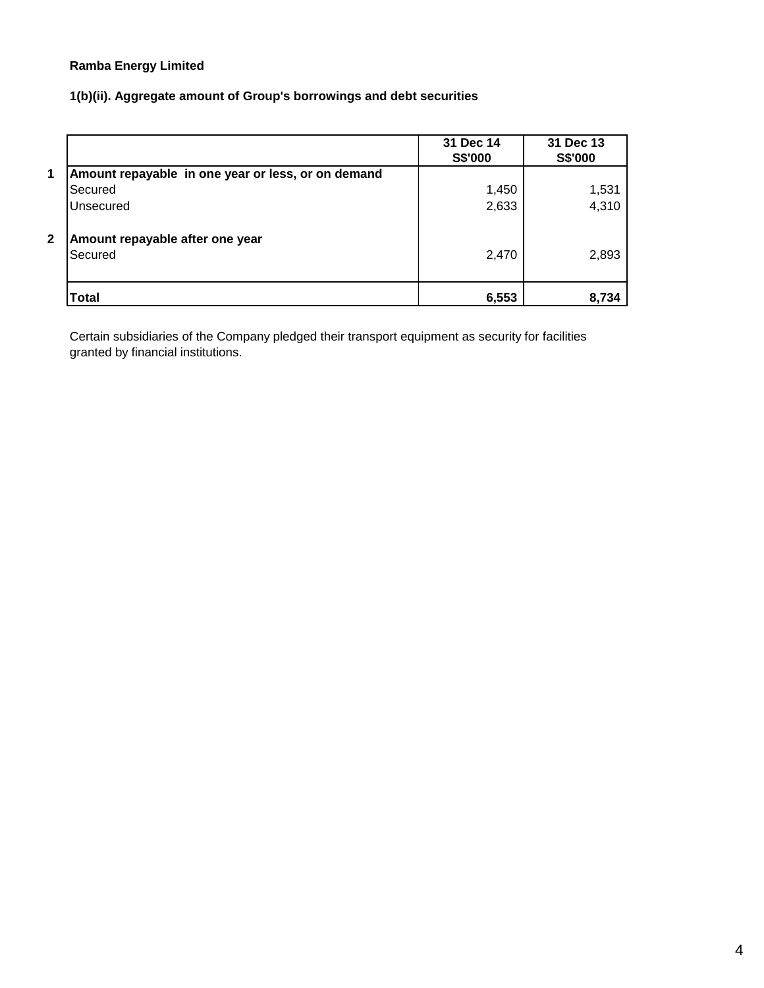# **1(b)(ii). Aggregate amount of Group's borrowings and debt securities**

|              |                                                    | 31 Dec 14<br>S\$'000 | 31 Dec 13<br>S\$'000 |
|--------------|----------------------------------------------------|----------------------|----------------------|
| 1            | Amount repayable in one year or less, or on demand |                      |                      |
|              | Secured                                            | 1,450                | 1,531                |
|              | Unsecured                                          | 2,633                | 4,310                |
| $\mathbf{2}$ | Amount repayable after one year<br>Secured         | 2,470                | 2,893                |
|              | Total                                              | 6,553                | 8,734                |

Certain subsidiaries of the Company pledged their transport equipment as security for facilities granted by financial institutions.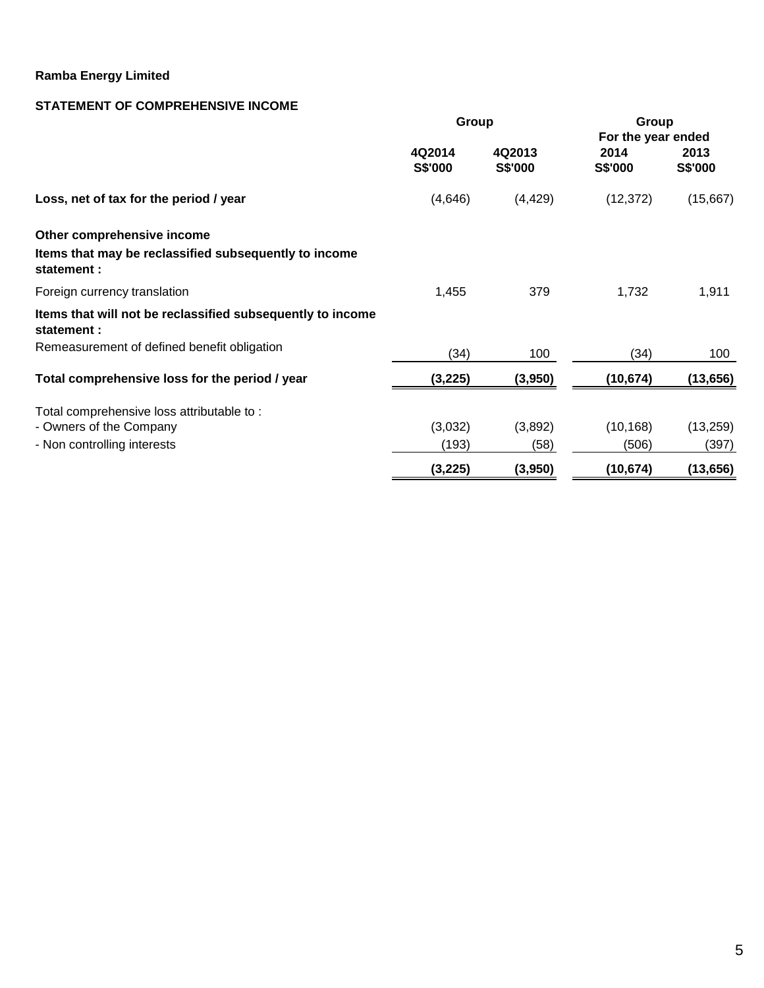# **STATEMENT OF COMPREHENSIVE INCOME**

|                                                                          | Group             |                   | Group                  |                 |  |  |  |
|--------------------------------------------------------------------------|-------------------|-------------------|------------------------|-----------------|--|--|--|
|                                                                          |                   |                   | For the year ended     |                 |  |  |  |
|                                                                          | 4Q2014<br>S\$'000 | 4Q2013<br>S\$'000 | 2014<br><b>S\$'000</b> | 2013<br>S\$'000 |  |  |  |
| Loss, net of tax for the period / year                                   | (4,646)           | (4, 429)          | (12, 372)              | (15,667)        |  |  |  |
| Other comprehensive income                                               |                   |                   |                        |                 |  |  |  |
| Items that may be reclassified subsequently to income<br>statement :     |                   |                   |                        |                 |  |  |  |
| Foreign currency translation                                             | 1,455             | 379               | 1,732                  | 1,911           |  |  |  |
| Items that will not be reclassified subsequently to income<br>statement: |                   |                   |                        |                 |  |  |  |
| Remeasurement of defined benefit obligation                              | (34)              | 100               | (34)                   | 100             |  |  |  |
| Total comprehensive loss for the period / year                           | (3,225)           | (3,950)           | (10, 674)              | (13, 656)       |  |  |  |
| Total comprehensive loss attributable to:                                |                   |                   |                        |                 |  |  |  |
| - Owners of the Company                                                  | (3,032)           | (3,892)           | (10, 168)              | (13, 259)       |  |  |  |
| - Non controlling interests                                              | (193)             | (58)              | (506)                  | (397)           |  |  |  |
|                                                                          | (3, 225)          | (3,950)           | (10, 674)              | (13, 656)       |  |  |  |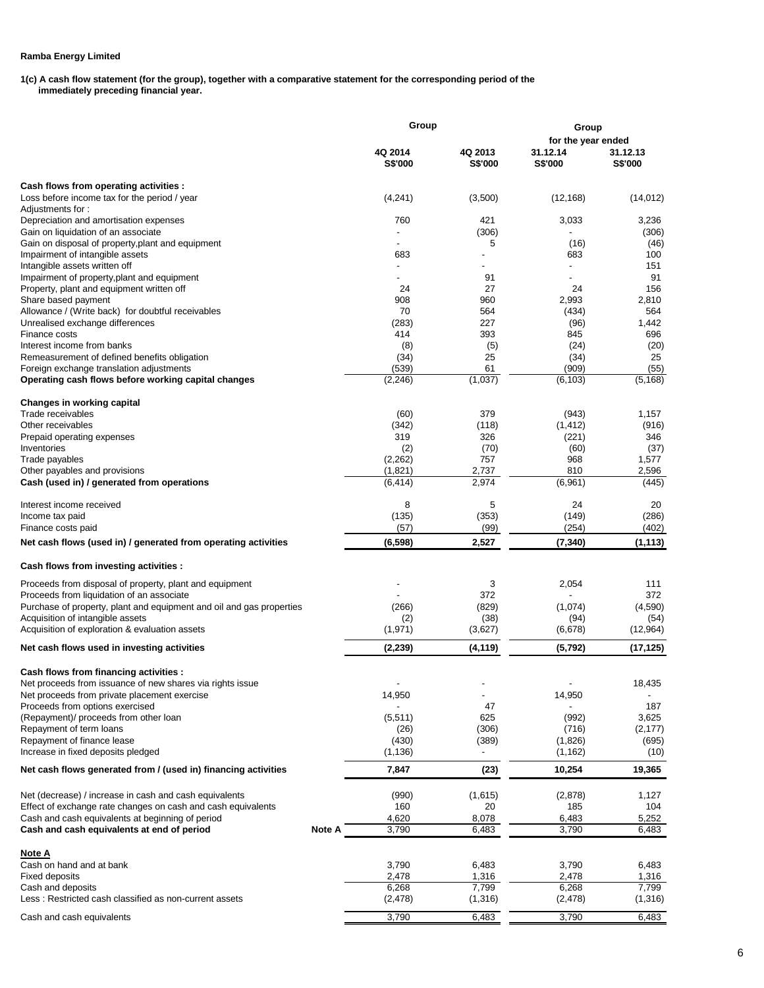**1(c) A cash flow statement (for the group), together with a comparative statement for the corresponding period of the**

 **immediately preceding financial year.** 

|                                                                          |        | Group                     |                           | Group               |                     |  |
|--------------------------------------------------------------------------|--------|---------------------------|---------------------------|---------------------|---------------------|--|
|                                                                          |        |                           |                           | for the year ended  |                     |  |
|                                                                          |        | 4Q 2014<br><b>S\$'000</b> | 4Q 2013<br><b>S\$'000</b> | 31.12.14<br>S\$'000 | 31.12.13<br>S\$'000 |  |
| Cash flows from operating activities :                                   |        |                           |                           |                     |                     |  |
| Loss before income tax for the period / year                             |        | (4,241)                   | (3,500)                   | (12, 168)           | (14, 012)           |  |
| Adjustments for:                                                         |        |                           |                           |                     |                     |  |
| Depreciation and amortisation expenses                                   |        | 760                       | 421                       | 3,033               | 3,236               |  |
| Gain on liquidation of an associate                                      |        | $\overline{a}$            | (306)                     |                     | (306)               |  |
| Gain on disposal of property, plant and equipment                        |        |                           | 5                         | (16)                | (46)                |  |
| Impairment of intangible assets                                          |        | 683                       |                           | 683                 | 100                 |  |
| Intangible assets written off                                            |        |                           |                           |                     | 151                 |  |
| Impairment of property, plant and equipment                              |        |                           | 91                        |                     | 91                  |  |
| Property, plant and equipment written off                                |        | 24                        | 27<br>960                 | 24                  | 156                 |  |
| Share based payment<br>Allowance / (Write back) for doubtful receivables |        | 908<br>70                 | 564                       | 2,993<br>(434)      | 2,810<br>564        |  |
| Unrealised exchange differences                                          |        | (283)                     | 227                       | (96)                | 1,442               |  |
| <b>Finance costs</b>                                                     |        | 414                       | 393                       | 845                 | 696                 |  |
| Interest income from banks                                               |        | (8)                       | (5)                       | (24)                | (20)                |  |
| Remeasurement of defined benefits obligation                             |        | (34)                      | 25                        | (34)                | 25                  |  |
| Foreign exchange translation adjustments                                 |        | (539)                     | 61                        | (909)               | (55)                |  |
| Operating cash flows before working capital changes                      |        | (2, 246)                  | (1,037)                   | (6, 103)            | (5, 168)            |  |
|                                                                          |        |                           |                           |                     |                     |  |
| Changes in working capital                                               |        |                           |                           |                     |                     |  |
| Trade receivables                                                        |        | (60)                      | 379                       | (943)               | 1,157               |  |
| Other receivables                                                        |        | (342)                     | (118)                     | (1, 412)            | (916)               |  |
| Prepaid operating expenses<br>Inventories                                |        | 319                       | 326                       | (221)               | 346                 |  |
| Trade payables                                                           |        | (2)<br>(2,262)            | (70)<br>757               | (60)<br>968         | (37)<br>1,577       |  |
| Other payables and provisions                                            |        | (1,821)                   | 2,737                     | 810                 | 2,596               |  |
| Cash (used in) / generated from operations                               |        | (6, 414)                  | 2,974                     | (6,961)             | (445)               |  |
|                                                                          |        |                           |                           |                     |                     |  |
| Interest income received                                                 |        | 8                         | 5                         | 24                  | 20                  |  |
| Income tax paid                                                          |        | (135)                     | (353)                     | (149)               | (286)               |  |
| Finance costs paid                                                       |        | (57)                      | (99)                      | (254)               | (402)               |  |
| Net cash flows (used in) / generated from operating activities           |        | (6, 598)                  | 2,527                     | (7, 340)            | (1, 113)            |  |
| Cash flows from investing activities :                                   |        |                           |                           |                     |                     |  |
| Proceeds from disposal of property, plant and equipment                  |        |                           | 3                         | 2,054               | 111                 |  |
| Proceeds from liquidation of an associate                                |        |                           | 372                       |                     | 372                 |  |
| Purchase of property, plant and equipment and oil and gas properties     |        | (266)                     | (829)                     | (1,074)             | (4,590)             |  |
| Acquisition of intangible assets                                         |        | (2)                       | (38)                      | (94)                | (54)                |  |
| Acquisition of exploration & evaluation assets                           |        | (1, 971)                  | (3,627)                   | (6,678)             | (12,964)            |  |
| Net cash flows used in investing activities                              |        | (2, 239)                  | (4, 119)                  | (5, 792)            | (17,125)            |  |
| Cash flows from financing activities :                                   |        |                           |                           |                     |                     |  |
| Net proceeds from issuance of new shares via rights issue                |        |                           |                           |                     | 18,435              |  |
| Net proceeds from private placement exercise                             |        | 14,950                    | $\overline{a}$            | 14,950              |                     |  |
| Proceeds from options exercised                                          |        |                           | 47                        |                     | 187                 |  |
| (Repayment)/ proceeds from other loan                                    |        | (5,511)                   | 625                       | (992)               | 3,625               |  |
| Repayment of term loans                                                  |        | (26)                      | (306)                     | (716)               | (2, 177)            |  |
| Repayment of finance lease                                               |        | (430)                     | (389)                     | (1,826)             | (695)               |  |
| Increase in fixed deposits pledged                                       |        | (1, 136)                  |                           | (1, 162)            | (10)                |  |
| Net cash flows generated from / (used in) financing activities           |        | 7,847                     | (23)                      | 10,254              | 19,365              |  |
| Net (decrease) / increase in cash and cash equivalents                   |        | (990)                     | (1,615)                   | (2,878)             | 1,127               |  |
| Effect of exchange rate changes on cash and cash equivalents             |        | 160                       | 20                        | 185                 | 104                 |  |
| Cash and cash equivalents at beginning of period                         |        | 4,620                     | 8,078                     | 6,483               | 5,252               |  |
| Cash and cash equivalents at end of period                               | Note A | 3,790                     | 6,483                     | 3,790               | 6,483               |  |
| <u>Note A</u>                                                            |        |                           |                           |                     |                     |  |
| Cash on hand and at bank                                                 |        | 3,790                     | 6,483                     | 3,790               | 6,483               |  |
| Fixed deposits                                                           |        | 2,478                     | 1,316                     | 2,478               | 1,316               |  |
| Cash and deposits                                                        |        | 6,268                     | 7,799                     | 6,268               | 7,799               |  |
| Less: Restricted cash classified as non-current assets                   |        | (2, 478)                  | (1, 316)                  | (2, 478)            | (1,316)             |  |
| Cash and cash equivalents                                                |        | 3,790                     | 6,483                     | 3,790               | 6,483               |  |
|                                                                          |        |                           |                           |                     |                     |  |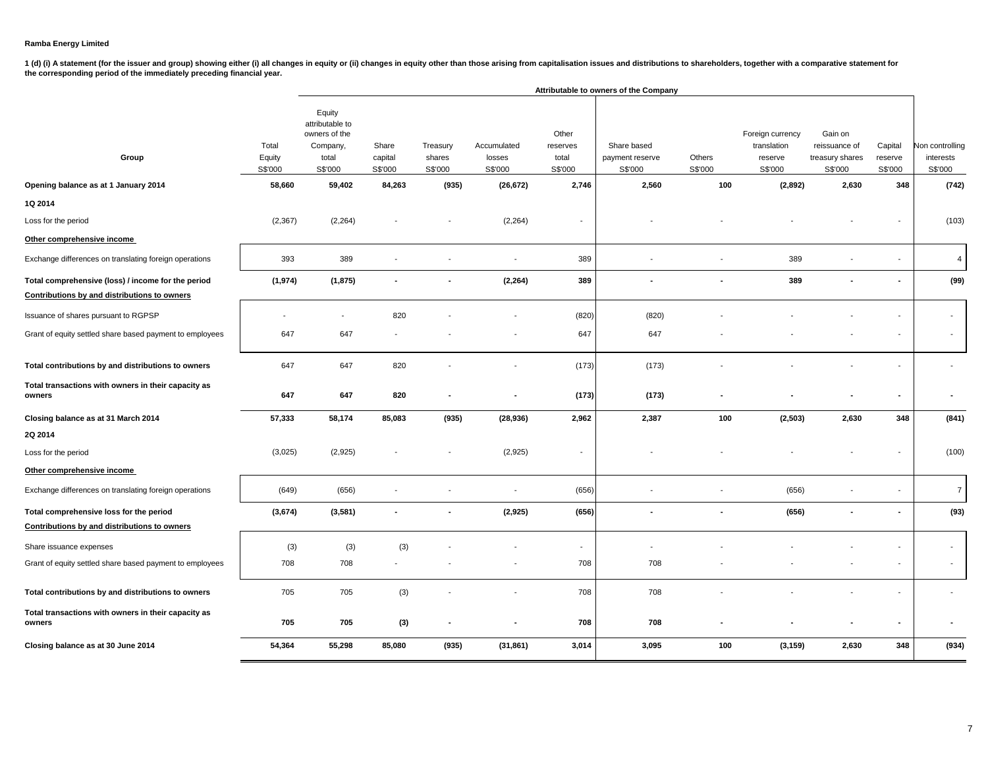1 (d) (i) A statement (for the issuer and group) showing either (i) all changes in equity or (ii) changes in equity other than those arising from capitalisation issues and distributions to shareholders, together with a com

|                                                               |                            |                                                                            |                             |                               |                                  |                                       | Attributable to owners of the Company     |                   |                                                       |                                                        |                               |                                         |
|---------------------------------------------------------------|----------------------------|----------------------------------------------------------------------------|-----------------------------|-------------------------------|----------------------------------|---------------------------------------|-------------------------------------------|-------------------|-------------------------------------------------------|--------------------------------------------------------|-------------------------------|-----------------------------------------|
| Group                                                         | Total<br>Equity<br>S\$'000 | Equity<br>attributable to<br>owners of the<br>Company,<br>total<br>S\$'000 | Share<br>capital<br>S\$'000 | Treasury<br>shares<br>S\$'000 | Accumulated<br>losses<br>S\$'000 | Other<br>reserves<br>total<br>S\$'000 | Share based<br>payment reserve<br>S\$'000 | Others<br>S\$'000 | Foreign currency<br>translation<br>reserve<br>S\$'000 | Gain on<br>reissuance of<br>treasury shares<br>S\$'000 | Capital<br>reserve<br>S\$'000 | Non controlling<br>interests<br>S\$'000 |
| Opening balance as at 1 January 2014                          | 58,660                     | 59,402                                                                     | 84,263                      | (935)                         | (26, 672)                        | 2,746                                 | 2,560                                     | 100               | (2,892)                                               | 2,630                                                  | 348                           | (742)                                   |
| 1Q 2014                                                       |                            |                                                                            |                             |                               |                                  |                                       |                                           |                   |                                                       |                                                        |                               |                                         |
| Loss for the period                                           | (2, 367)                   | (2, 264)                                                                   |                             |                               | (2, 264)                         | $\overline{\phantom{a}}$              |                                           |                   |                                                       |                                                        |                               | (103)                                   |
| Other comprehensive income                                    |                            |                                                                            |                             |                               |                                  |                                       |                                           |                   |                                                       |                                                        |                               |                                         |
| Exchange differences on translating foreign operations        | 393                        | 389                                                                        |                             |                               | $\blacksquare$                   | 389                                   |                                           |                   | 389                                                   |                                                        | ۰                             | 4                                       |
| Total comprehensive (loss) / income for the period            | (1, 974)                   | (1, 875)                                                                   | $\blacksquare$              |                               | (2, 264)                         | 389                                   | $\blacksquare$                            |                   | 389                                                   |                                                        | $\sim$                        | (99)                                    |
| Contributions by and distributions to owners                  |                            |                                                                            |                             |                               |                                  |                                       |                                           |                   |                                                       |                                                        |                               |                                         |
| Issuance of shares pursuant to RGPSP                          |                            |                                                                            | 820                         |                               |                                  | (820)                                 | (820)                                     |                   |                                                       |                                                        |                               | $\overline{\phantom{a}}$                |
| Grant of equity settled share based payment to employees      | 647                        | 647                                                                        |                             |                               |                                  | 647                                   | 647                                       |                   |                                                       |                                                        |                               |                                         |
| Total contributions by and distributions to owners            | 647                        | 647                                                                        | 820                         |                               |                                  | (173)                                 | (173)                                     |                   |                                                       |                                                        |                               |                                         |
| Total transactions with owners in their capacity as<br>owners | 647                        | 647                                                                        | 820                         |                               |                                  | (173)                                 | (173)                                     |                   |                                                       |                                                        | ٠                             |                                         |
| Closing balance as at 31 March 2014                           | 57,333                     | 58,174                                                                     | 85,083                      | (935)                         | (28, 936)                        | 2,962                                 | 2,387                                     | 100               | (2, 503)                                              | 2,630                                                  | 348                           | (841)                                   |
| 2Q 2014                                                       |                            |                                                                            |                             |                               |                                  |                                       |                                           |                   |                                                       |                                                        |                               |                                         |
| Loss for the period                                           | (3,025)                    | (2,925)                                                                    |                             |                               | (2,925)                          | $\overline{\phantom{a}}$              |                                           |                   |                                                       |                                                        |                               | (100)                                   |
| Other comprehensive income                                    |                            |                                                                            |                             |                               |                                  |                                       |                                           |                   |                                                       |                                                        |                               |                                         |
| Exchange differences on translating foreign operations        | (649)                      | (656)                                                                      |                             |                               | $\blacksquare$                   | (656)                                 | $\overline{\phantom{a}}$                  |                   | (656)                                                 |                                                        | $\overline{\phantom{a}}$      | $\overline{7}$                          |
| Total comprehensive loss for the period                       | (3,674)                    | (3,581)                                                                    |                             |                               | (2, 925)                         | (656)                                 |                                           |                   | (656)                                                 |                                                        | $\blacksquare$                | (93)                                    |
| Contributions by and distributions to owners                  |                            |                                                                            |                             |                               |                                  |                                       |                                           |                   |                                                       |                                                        |                               |                                         |
| Share issuance expenses                                       | (3)                        | (3)                                                                        | (3)                         |                               |                                  | $\overline{\phantom{a}}$              |                                           |                   |                                                       |                                                        | ٠                             | $\overline{\phantom{a}}$                |
| Grant of equity settled share based payment to employees      | 708                        | 708                                                                        |                             |                               |                                  | 708                                   | 708                                       |                   |                                                       |                                                        | $\overline{\phantom{a}}$      |                                         |
| Total contributions by and distributions to owners            | 705                        | 705                                                                        | (3)                         |                               |                                  | 708                                   | 708                                       |                   |                                                       |                                                        | ۰                             |                                         |
| Total transactions with owners in their capacity as<br>owners | 705                        | 705                                                                        | (3)                         |                               |                                  | 708                                   | 708                                       |                   |                                                       |                                                        | $\blacksquare$                |                                         |
| Closing balance as at 30 June 2014                            | 54,364                     | 55,298                                                                     | 85,080                      | (935)                         | (31, 861)                        | 3,014                                 | 3,095                                     | 100               | (3, 159)                                              | 2,630                                                  | 348                           | (934)                                   |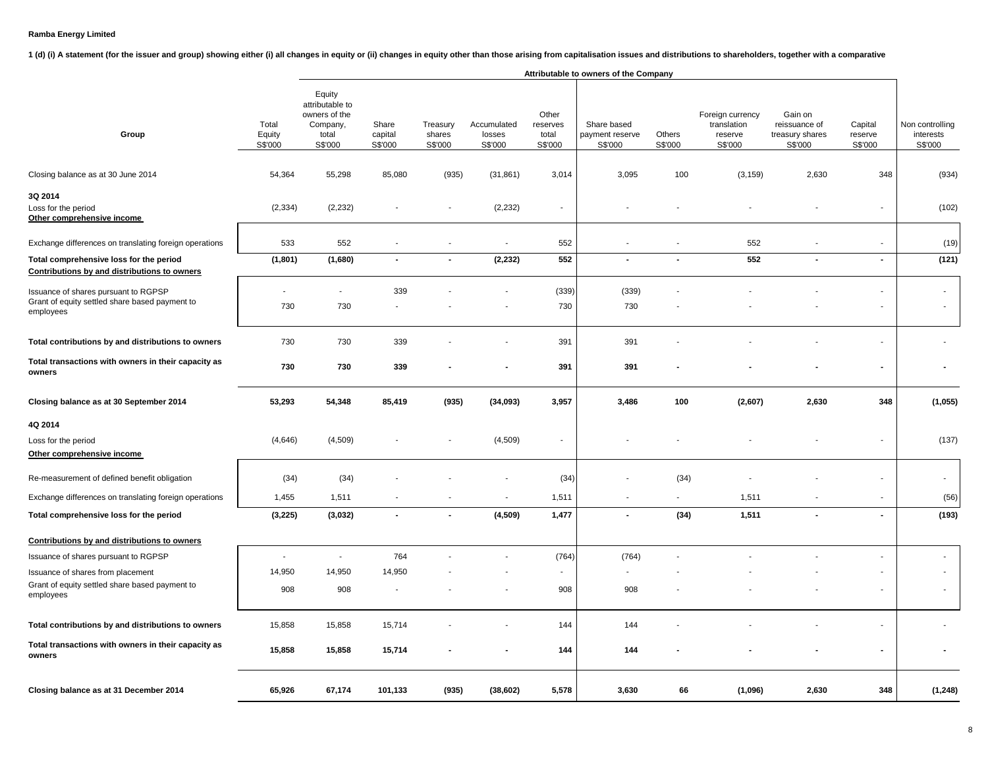1 (d) (i) A statement (for the issuer and group) showing either (i) all changes in equity or (ii) changes in equity or than those arising from capitalisation issues and distributions to shareholders, together with a compar

|                                                                                                     |                                 |                                                                            |                             |                               |                                  |                                       | Attributable to owners of the Company     |                   |                                                       |                                                        |                               |                                         |
|-----------------------------------------------------------------------------------------------------|---------------------------------|----------------------------------------------------------------------------|-----------------------------|-------------------------------|----------------------------------|---------------------------------------|-------------------------------------------|-------------------|-------------------------------------------------------|--------------------------------------------------------|-------------------------------|-----------------------------------------|
| Group                                                                                               | Total<br>Equity<br>S\$'000      | Equity<br>attributable to<br>owners of the<br>Company,<br>total<br>S\$'000 | Share<br>capital<br>S\$'000 | Treasury<br>shares<br>S\$'000 | Accumulated<br>losses<br>S\$'000 | Other<br>reserves<br>total<br>S\$'000 | Share based<br>payment reserve<br>S\$'000 | Others<br>S\$'000 | Foreign currency<br>translation<br>reserve<br>S\$'000 | Gain on<br>reissuance of<br>treasury shares<br>S\$'000 | Capital<br>reserve<br>S\$'000 | Non controlling<br>interests<br>S\$'000 |
| Closing balance as at 30 June 2014                                                                  | 54,364                          | 55,298                                                                     | 85,080                      | (935)                         | (31, 861)                        | 3,014                                 | 3,095                                     | 100               | (3, 159)                                              | 2,630                                                  | 348                           | (934)                                   |
| 3Q 2014<br>Loss for the period<br>Other comprehensive income                                        | (2, 334)                        | (2, 232)                                                                   |                             | ä,                            | (2, 232)                         | $\overline{a}$                        |                                           |                   |                                                       |                                                        |                               | (102)                                   |
| Exchange differences on translating foreign operations                                              | 533                             | 552                                                                        |                             | $\overline{a}$                | $\blacksquare$                   | 552                                   | $\overline{\phantom{a}}$                  |                   | 552                                                   |                                                        |                               | (19)                                    |
| Total comprehensive loss for the period<br>Contributions by and distributions to owners             | (1,801)                         | (1,680)                                                                    | $\blacksquare$              | $\blacksquare$                | (2, 232)                         | 552                                   | $\blacksquare$                            | $\blacksquare$    | 552                                                   | $\blacksquare$                                         | $\sim$                        | (121)                                   |
| Issuance of shares pursuant to RGPSP<br>Grant of equity settled share based payment to<br>employees | $\overline{\phantom{a}}$<br>730 | $\overline{a}$<br>730                                                      | 339                         |                               |                                  | (339)<br>730                          | (339)<br>730                              |                   |                                                       |                                                        |                               |                                         |
| Total contributions by and distributions to owners                                                  | 730                             | 730                                                                        | 339                         |                               |                                  | 391                                   | 391                                       |                   |                                                       |                                                        |                               |                                         |
| Total transactions with owners in their capacity as<br>owners                                       | 730                             | 730                                                                        | 339                         |                               |                                  | 391                                   | 391                                       |                   |                                                       |                                                        |                               |                                         |
| Closing balance as at 30 September 2014                                                             | 53,293                          | 54,348                                                                     | 85,419                      | (935)                         | (34,093)                         | 3,957                                 | 3,486                                     | 100               | (2,607)                                               | 2,630                                                  | 348                           | (1,055)                                 |
| 4Q 2014                                                                                             |                                 |                                                                            |                             |                               |                                  |                                       |                                           |                   |                                                       |                                                        |                               |                                         |
| Loss for the period<br>Other comprehensive income                                                   | (4,646)                         | (4, 509)                                                                   |                             |                               | (4,509)                          |                                       |                                           |                   |                                                       |                                                        |                               | (137)                                   |
| Re-measurement of defined benefit obligation                                                        | (34)                            | (34)                                                                       |                             |                               |                                  | (34)                                  |                                           | (34)              |                                                       |                                                        |                               |                                         |
| Exchange differences on translating foreign operations                                              | 1,455                           | 1,511                                                                      |                             | $\overline{\phantom{a}}$      | $\overline{\phantom{a}}$         | 1,511                                 | $\tilde{\phantom{a}}$                     | $\blacksquare$    | 1,511                                                 |                                                        | $\overline{\phantom{a}}$      | (56)                                    |
| Total comprehensive loss for the period                                                             | (3, 225)                        | (3,032)                                                                    | ä,                          | $\blacksquare$                | (4, 509)                         | 1,477                                 | $\tilde{\phantom{a}}$                     | (34)              | 1,511                                                 | $\overline{a}$                                         | $\sim$                        | (193)                                   |
| Contributions by and distributions to owners                                                        |                                 |                                                                            |                             |                               |                                  |                                       |                                           |                   |                                                       |                                                        |                               |                                         |
| Issuance of shares pursuant to RGPSP                                                                | $\blacksquare$                  | $\overline{a}$                                                             | 764                         |                               | $\overline{\phantom{a}}$         | (764)                                 | (764)                                     |                   |                                                       |                                                        |                               |                                         |
| Issuance of shares from placement                                                                   | 14,950                          | 14,950                                                                     | 14,950                      |                               |                                  | $\blacksquare$                        | $\blacksquare$                            |                   |                                                       |                                                        |                               |                                         |
| Grant of equity settled share based payment to<br>employees                                         | 908                             | 908                                                                        |                             |                               |                                  | 908                                   | 908                                       |                   |                                                       |                                                        |                               |                                         |
| Total contributions by and distributions to owners                                                  | 15,858                          | 15,858                                                                     | 15,714                      |                               |                                  | 144                                   | 144                                       |                   |                                                       |                                                        |                               |                                         |
| Total transactions with owners in their capacity as<br>owners                                       | 15,858                          | 15,858                                                                     | 15,714                      |                               | $\overline{\phantom{a}}$         | 144                                   | 144                                       |                   |                                                       |                                                        | $\overline{\phantom{a}}$      |                                         |
| Closing balance as at 31 December 2014                                                              | 65,926                          | 67,174                                                                     | 101,133                     | (935)                         | (38, 602)                        | 5,578                                 | 3,630                                     | 66                | (1,096)                                               | 2,630                                                  | 348                           | (1, 248)                                |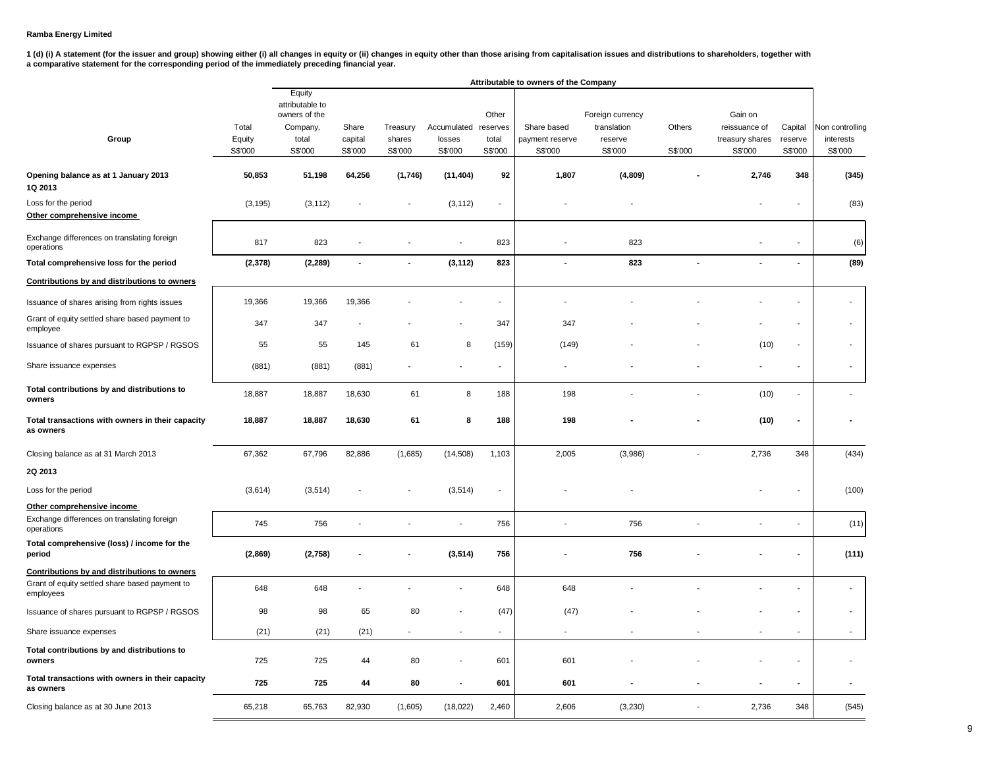|                                                               |          |                                  |         |                |                          |                          |                          | Attributable to owners of the Company |                |                 |                |                        |  |  |  |  |  |  |
|---------------------------------------------------------------|----------|----------------------------------|---------|----------------|--------------------------|--------------------------|--------------------------|---------------------------------------|----------------|-----------------|----------------|------------------------|--|--|--|--|--|--|
|                                                               |          | Equity                           |         |                |                          |                          |                          |                                       |                |                 |                |                        |  |  |  |  |  |  |
|                                                               |          | attributable to<br>owners of the |         |                |                          | Other                    |                          | Foreign currency                      |                | Gain on         |                |                        |  |  |  |  |  |  |
|                                                               | Total    | Company,                         | Share   | Treasury       | Accumulated              | reserves                 | Share based              | translation                           | Others         | reissuance of   | Capital        | <b>Von controlling</b> |  |  |  |  |  |  |
| Group                                                         | Equity   | total                            | capital | shares         | losses                   | total                    | payment reserve          | reserve                               |                | treasury shares | reserve        | interests              |  |  |  |  |  |  |
|                                                               | S\$'000  | S\$'000                          | S\$'000 | S\$'000        | S\$'000                  | S\$'000                  | S\$'000                  | S\$'000                               | S\$'000        | S\$'000         | S\$'000        | S\$'000                |  |  |  |  |  |  |
| Opening balance as at 1 January 2013<br>1Q 2013               | 50,853   | 51,198                           | 64,256  | (1,746)        | (11, 404)                | 92                       | 1,807                    | (4,809)                               |                | 2,746           | 348            | (345)                  |  |  |  |  |  |  |
| Loss for the period<br>Other comprehensive income             | (3, 195) | (3, 112)                         |         |                | (3, 112)                 | $\overline{a}$           |                          |                                       |                |                 | ÷,             | (83)                   |  |  |  |  |  |  |
| Exchange differences on translating foreign<br>operations     | 817      | 823                              |         |                |                          | 823                      |                          | 823                                   |                |                 | $\overline{a}$ | (6)                    |  |  |  |  |  |  |
| Total comprehensive loss for the period                       | (2, 378) | (2, 289)                         |         | $\blacksquare$ | (3, 112)                 | 823                      | $\overline{\phantom{a}}$ | 823                                   | $\blacksquare$ |                 | $\blacksquare$ | (89)                   |  |  |  |  |  |  |
| Contributions by and distributions to owners                  |          |                                  |         |                |                          |                          |                          |                                       |                |                 |                |                        |  |  |  |  |  |  |
| Issuance of shares arising from rights issues                 | 19,366   | 19,366                           | 19,366  |                |                          | ÷,                       |                          |                                       |                |                 |                |                        |  |  |  |  |  |  |
| Grant of equity settled share based payment to<br>employee    | 347      | 347                              |         |                |                          | 347                      | 347                      |                                       |                |                 | $\overline{a}$ |                        |  |  |  |  |  |  |
| Issuance of shares pursuant to RGPSP / RGSOS                  | 55       | 55                               | 145     | 61             | 8                        | (159)                    | (149)                    |                                       |                | (10)            |                |                        |  |  |  |  |  |  |
| Share issuance expenses                                       | (881)    | (881)                            | (881)   |                | $\overline{a}$           | $\overline{a}$           |                          |                                       |                |                 | $\overline{a}$ |                        |  |  |  |  |  |  |
| Total contributions by and distributions to<br>owners         | 18,887   | 18,887                           | 18,630  | 61             | 8                        | 188                      | 198                      |                                       |                | (10)            |                |                        |  |  |  |  |  |  |
| Total transactions with owners in their capacity<br>as owners | 18,887   | 18,887                           | 18,630  | 61             | 8                        | 188                      | 198                      |                                       |                | (10)            | $\blacksquare$ |                        |  |  |  |  |  |  |
| Closing balance as at 31 March 2013                           | 67,362   | 67,796                           | 82,886  | (1,685)        | (14, 508)                | 1,103                    | 2,005                    | (3,986)                               |                | 2,736           | 348            | (434)                  |  |  |  |  |  |  |
| 2Q 2013                                                       |          |                                  |         |                |                          |                          |                          |                                       |                |                 |                |                        |  |  |  |  |  |  |
| Loss for the period                                           | (3,614)  | (3, 514)                         |         |                | (3, 514)                 |                          |                          |                                       |                |                 |                | (100)                  |  |  |  |  |  |  |
| Other comprehensive income                                    |          |                                  |         |                |                          |                          |                          |                                       |                |                 |                |                        |  |  |  |  |  |  |
| Exchange differences on translating foreign<br>operations     | 745      | 756                              |         |                |                          | 756                      |                          | 756                                   |                |                 |                | (11)                   |  |  |  |  |  |  |
| Total comprehensive (loss) / income for the<br>period         | (2,869)  | (2,758)                          |         |                | (3, 514)                 | 756                      |                          | 756                                   |                |                 |                | (111)                  |  |  |  |  |  |  |
| Contributions by and distributions to owners                  |          |                                  |         |                |                          |                          |                          |                                       |                |                 |                |                        |  |  |  |  |  |  |
| Grant of equity settled share based payment to<br>employees   | 648      | 648                              |         | $\overline{a}$ | $\overline{a}$           | 648                      | 648                      |                                       |                |                 | $\overline{a}$ |                        |  |  |  |  |  |  |
| Issuance of shares pursuant to RGPSP / RGSOS                  | 98       | 98                               | 65      | 80             | $\overline{\phantom{a}}$ | (47)                     | (47)                     |                                       |                |                 |                |                        |  |  |  |  |  |  |
| Share issuance expenses                                       | (21)     | (21)                             | (21)    | $\overline{a}$ | $\overline{\phantom{a}}$ | $\overline{\phantom{a}}$ |                          |                                       |                |                 | $\overline{a}$ |                        |  |  |  |  |  |  |
| Total contributions by and distributions to<br>owners         | 725      | 725                              | 44      | 80             | Ĭ.                       | 601                      | 601                      |                                       |                |                 |                |                        |  |  |  |  |  |  |
| Total transactions with owners in their capacity<br>as owners | 725      | 725                              | 44      | 80             | $\blacksquare$           | 601                      | 601                      |                                       |                |                 | $\blacksquare$ |                        |  |  |  |  |  |  |
| Closing balance as at 30 June 2013                            | 65,218   | 65,763                           | 82,930  | (1,605)        | (18, 022)                | 2,460                    | 2,606                    | (3,230)                               |                | 2,736           | 348            | (545)                  |  |  |  |  |  |  |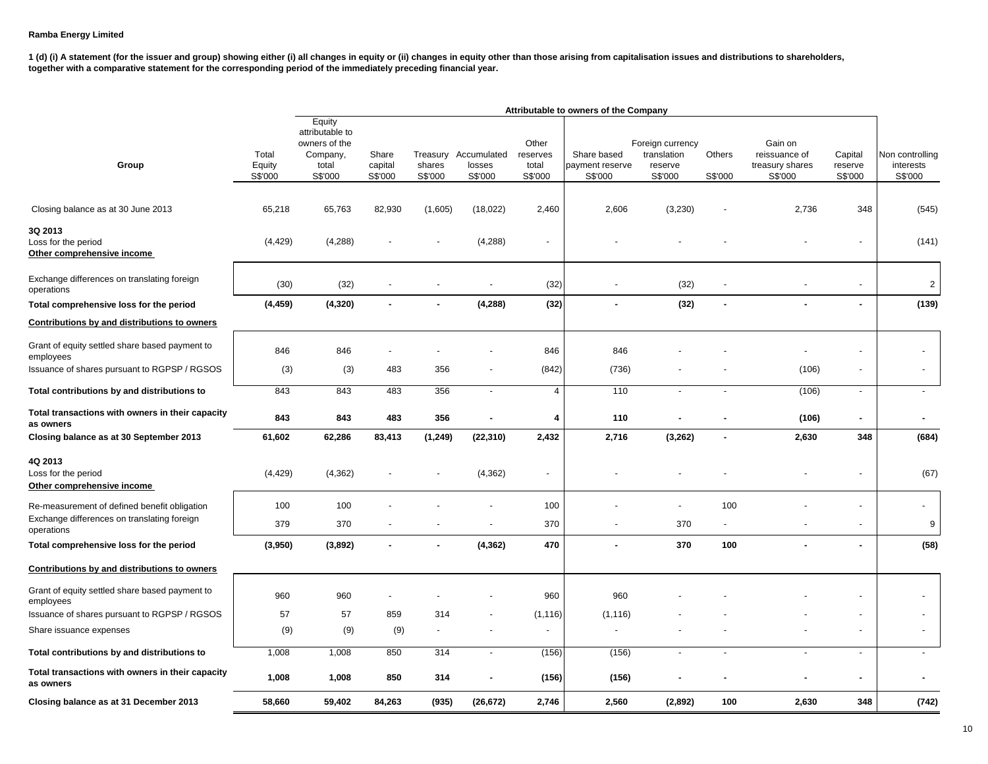|                                                               |                            |                                                                            |                             |                   |                                           |                                       | Attributable to owners of the Company     |                                                       |                          |                                                        |                               |                                         |
|---------------------------------------------------------------|----------------------------|----------------------------------------------------------------------------|-----------------------------|-------------------|-------------------------------------------|---------------------------------------|-------------------------------------------|-------------------------------------------------------|--------------------------|--------------------------------------------------------|-------------------------------|-----------------------------------------|
| Group                                                         | Total<br>Equity<br>S\$'000 | Equity<br>attributable to<br>owners of the<br>Company,<br>total<br>S\$'000 | Share<br>capital<br>S\$'000 | shares<br>S\$'000 | Treasury Accumulated<br>losses<br>S\$'000 | Other<br>reserves<br>total<br>S\$'000 | Share based<br>payment reserve<br>S\$'000 | Foreign currency<br>translation<br>reserve<br>S\$'000 | Others<br>S\$'000        | Gain on<br>reissuance of<br>treasury shares<br>S\$'000 | Capital<br>reserve<br>S\$'000 | Non controlling<br>interests<br>S\$'000 |
| Closing balance as at 30 June 2013                            | 65,218                     | 65,763                                                                     | 82,930                      | (1,605)           | (18, 022)                                 | 2,460                                 | 2,606                                     | (3, 230)                                              |                          | 2,736                                                  | 348                           | (545)                                   |
| 3Q 2013<br>Loss for the period<br>Other comprehensive income  | (4, 429)                   | (4,288)                                                                    |                             |                   | (4,288)                                   |                                       |                                           |                                                       |                          |                                                        | $\sim$                        | (141)                                   |
| Exchange differences on translating foreign<br>operations     | (30)                       | (32)                                                                       |                             |                   |                                           | (32)                                  |                                           | (32)                                                  |                          |                                                        | $\overline{\phantom{a}}$      | $\overline{2}$                          |
| Total comprehensive loss for the period                       | (4, 459)                   | (4, 320)                                                                   | $\blacksquare$              |                   | (4, 288)                                  | (32)                                  | $\blacksquare$                            | (32)                                                  | $\overline{a}$           | $\overline{a}$                                         | $\mathbf{r}$                  | (139)                                   |
| Contributions by and distributions to owners                  |                            |                                                                            |                             |                   |                                           |                                       |                                           |                                                       |                          |                                                        |                               |                                         |
| Grant of equity settled share based payment to<br>employees   | 846                        | 846                                                                        |                             |                   |                                           | 846                                   | 846                                       |                                                       |                          |                                                        | $\overline{\phantom{a}}$      |                                         |
| Issuance of shares pursuant to RGPSP / RGSOS                  | (3)                        | (3)                                                                        | 483                         | 356               |                                           | (842)                                 | (736)                                     |                                                       |                          | (106)                                                  | $\blacksquare$                | $\blacksquare$                          |
| Total contributions by and distributions to                   | 843                        | 843                                                                        | 483                         | 356               | $\blacksquare$                            | $\overline{4}$                        | $\overline{110}$                          |                                                       |                          | (106)                                                  | $\sim$                        | $\mathbf{r}$                            |
| Total transactions with owners in their capacity<br>as owners | 843                        | 843                                                                        | 483                         | 356               | $\blacksquare$                            | 4                                     | 110                                       |                                                       |                          | (106)                                                  | $\blacksquare$                | $\blacksquare$                          |
| Closing balance as at 30 September 2013                       | 61,602                     | 62,286                                                                     | 83,413                      | (1, 249)          | (22, 310)                                 | 2,432                                 | 2,716                                     | (3,262)                                               |                          | 2,630                                                  | 348                           | (684)                                   |
| 4Q 2013<br>Loss for the period<br>Other comprehensive income  | (4, 429)                   | (4, 362)                                                                   |                             |                   | (4, 362)                                  | $\overline{\phantom{a}}$              |                                           |                                                       |                          |                                                        | $\blacksquare$                | (67)                                    |
| Re-measurement of defined benefit obligation                  | 100                        | 100                                                                        |                             |                   |                                           | 100                                   |                                           | $\overline{\phantom{a}}$                              | 100                      |                                                        | $\overline{\phantom{a}}$      | ÷                                       |
| Exchange differences on translating foreign<br>operations     | 379                        | 370                                                                        |                             |                   | ÷,                                        | 370                                   | ÷,                                        | 370                                                   | $\blacksquare$           |                                                        | $\blacksquare$                | $\boldsymbol{9}$                        |
| Total comprehensive loss for the period                       | (3,950)                    | (3,892)                                                                    |                             |                   | (4, 362)                                  | 470                                   | $\blacksquare$                            | 370                                                   | 100                      |                                                        | $\blacksquare$                | (58)                                    |
| Contributions by and distributions to owners                  |                            |                                                                            |                             |                   |                                           |                                       |                                           |                                                       |                          |                                                        |                               |                                         |
| Grant of equity settled share based payment to<br>employees   | 960                        | 960                                                                        |                             |                   |                                           | 960                                   | 960                                       |                                                       |                          |                                                        | $\blacksquare$                |                                         |
| Issuance of shares pursuant to RGPSP / RGSOS                  | 57                         | 57                                                                         | 859                         | 314               |                                           | (1, 116)                              | (1, 116)                                  |                                                       |                          |                                                        | $\overline{\phantom{a}}$      |                                         |
| Share issuance expenses                                       | (9)                        | (9)                                                                        | (9)                         | $\blacksquare$    | ÷,                                        | $\blacksquare$                        |                                           |                                                       |                          |                                                        | $\blacksquare$                | $\blacksquare$                          |
| Total contributions by and distributions to                   | 1,008                      | 1,008                                                                      | 850                         | 314               | $\blacksquare$                            | (156)                                 | (156)                                     | $\overline{\phantom{a}}$                              | $\overline{\phantom{a}}$ | $\overline{\phantom{a}}$                               | $\overline{\phantom{a}}$      | $\overline{\phantom{a}}$                |
| Total transactions with owners in their capacity<br>as owners | 1,008                      | 1,008                                                                      | 850                         | 314               | $\blacksquare$                            | (156)                                 | (156)                                     | $\blacksquare$                                        | $\overline{a}$           | ٠                                                      | $\sim$                        | $\overline{a}$                          |
| Closing balance as at 31 December 2013                        | 58,660                     | 59,402                                                                     | 84,263                      | (935)             | (26, 672)                                 | 2,746                                 | 2,560                                     | (2,892)                                               | 100                      | 2,630                                                  | 348                           | (742)                                   |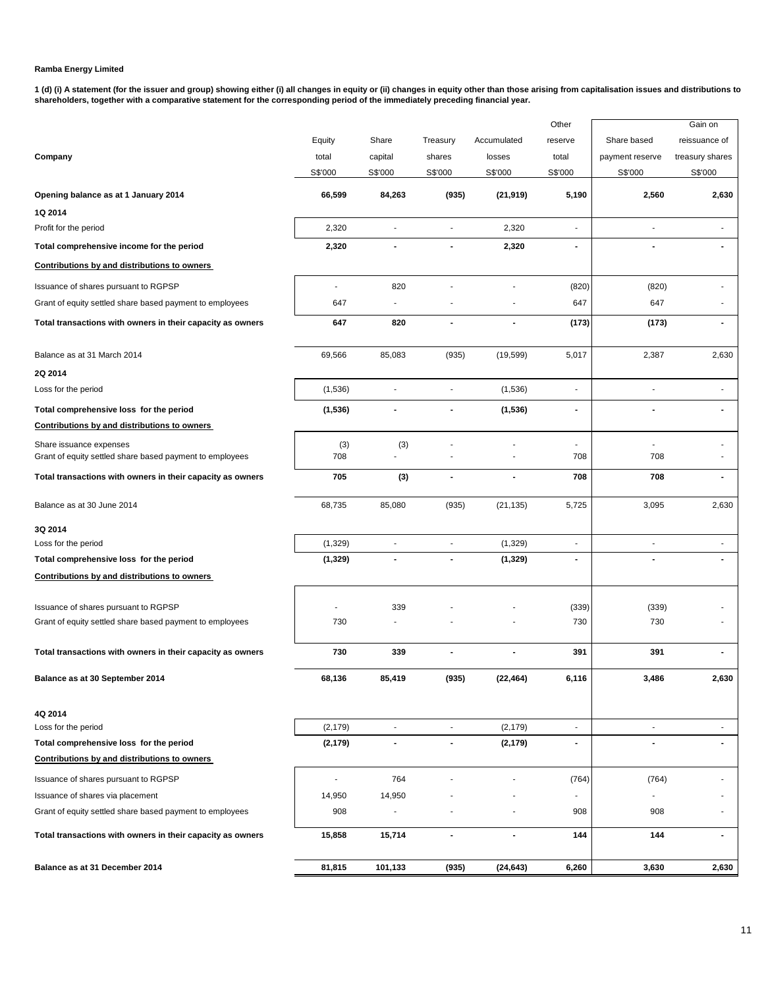|                                                            |                |                |                          |                          | Other                        |                 | Gain on         |
|------------------------------------------------------------|----------------|----------------|--------------------------|--------------------------|------------------------------|-----------------|-----------------|
|                                                            | Equity         | Share          | Treasury                 | Accumulated              | reserve                      | Share based     | reissuance of   |
| Company                                                    | total          | capital        | shares                   | losses                   | total                        | payment reserve | treasury shares |
|                                                            | S\$'000        | S\$'000        | S\$'000                  | S\$'000                  | S\$'000                      | S\$'000         | S\$'000         |
| Opening balance as at 1 January 2014                       | 66,599         | 84,263         | (935)                    | (21, 919)                | 5,190                        | 2,560           | 2,630           |
| 1Q 2014                                                    |                |                |                          |                          |                              |                 |                 |
| Profit for the period                                      | 2,320          | ÷,             | $\overline{\phantom{a}}$ | 2,320                    | L,                           | Ĭ.              |                 |
| Total comprehensive income for the period                  | 2,320          | $\blacksquare$ |                          | 2,320                    | ٠                            | $\blacksquare$  |                 |
| Contributions by and distributions to owners               |                |                |                          |                          |                              |                 |                 |
| Issuance of shares pursuant to RGPSP                       | ÷.             | 820            |                          | ä,                       | (820)                        | (820)           |                 |
| Grant of equity settled share based payment to employees   | 647            | $\blacksquare$ |                          |                          | 647                          | 647             |                 |
| Total transactions with owners in their capacity as owners | 647            | 820            | $\blacksquare$           | $\blacksquare$           | (173)                        | (173)           | $\blacksquare$  |
| Balance as at 31 March 2014                                | 69,566         | 85,083         | (935)                    | (19, 599)                | 5,017                        | 2,387           | 2,630           |
| 2Q 2014                                                    |                |                |                          |                          |                              |                 |                 |
| Loss for the period                                        | (1,536)        |                |                          | (1,536)                  | Ĭ.                           | ÷               |                 |
| Total comprehensive loss for the period                    | (1,536)        |                |                          | (1, 536)                 | $\qquad \qquad \blacksquare$ |                 |                 |
| <b>Contributions by and distributions to owners</b>        |                |                |                          |                          |                              |                 |                 |
| Share issuance expenses                                    | (3)            | (3)            |                          |                          | ٠                            |                 |                 |
| Grant of equity settled share based payment to employees   | 708            |                |                          | ٠                        | 708                          | 708             |                 |
| Total transactions with owners in their capacity as owners | 705            | (3)            | $\overline{\phantom{a}}$ | $\overline{\phantom{a}}$ | 708                          | 708             | $\blacksquare$  |
| Balance as at 30 June 2014                                 | 68,735         | 85,080         | (935)                    | (21, 135)                | 5,725                        | 3,095           | 2,630           |
| 3Q 2014                                                    |                |                |                          |                          |                              |                 |                 |
| Loss for the period                                        | (1,329)        |                |                          | (1, 329)                 | Ĭ.                           |                 |                 |
| Total comprehensive loss for the period                    | (1, 329)       | $\blacksquare$ |                          | (1, 329)                 | $\blacksquare$               |                 |                 |
| Contributions by and distributions to owners               |                |                |                          |                          |                              |                 |                 |
| Issuance of shares pursuant to RGPSP                       |                | 339            |                          |                          | (339)                        | (339)           |                 |
| Grant of equity settled share based payment to employees   | 730            |                |                          |                          | 730                          | 730             |                 |
|                                                            |                |                |                          |                          |                              |                 |                 |
| Total transactions with owners in their capacity as owners | 730            | 339            |                          | $\overline{a}$           | 391                          | 391             |                 |
| Balance as at 30 September 2014                            | 68,136         | 85,419         | (935)                    | (22,464)                 | 6,116                        | 3,486           | 2,630           |
| 4Q 2014                                                    |                |                |                          |                          |                              |                 |                 |
| Loss for the period                                        | (2, 179)       | $\blacksquare$ | $\blacksquare$           | (2, 179)                 | $\overline{\phantom{a}}$     | ä,              | ÷               |
| Total comprehensive loss for the period                    | (2, 179)       | $\blacksquare$ | $\blacksquare$           | (2, 179)                 | $\blacksquare$               |                 |                 |
| Contributions by and distributions to owners               |                |                |                          |                          |                              |                 |                 |
| Issuance of shares pursuant to RGPSP                       | $\blacksquare$ | 764            |                          |                          | (764)                        | (764)           |                 |
| Issuance of shares via placement                           | 14,950         | 14,950         |                          |                          |                              |                 |                 |
| Grant of equity settled share based payment to employees   | 908            | $\blacksquare$ |                          |                          | 908                          | 908             |                 |
| Total transactions with owners in their capacity as owners | 15,858         | 15,714         | $\overline{\phantom{a}}$ | $\blacksquare$           | 144                          | 144             | $\blacksquare$  |
| Balance as at 31 December 2014                             | 81,815         | 101,133        | (935)                    | (24, 643)                | 6,260                        | 3,630           | 2,630           |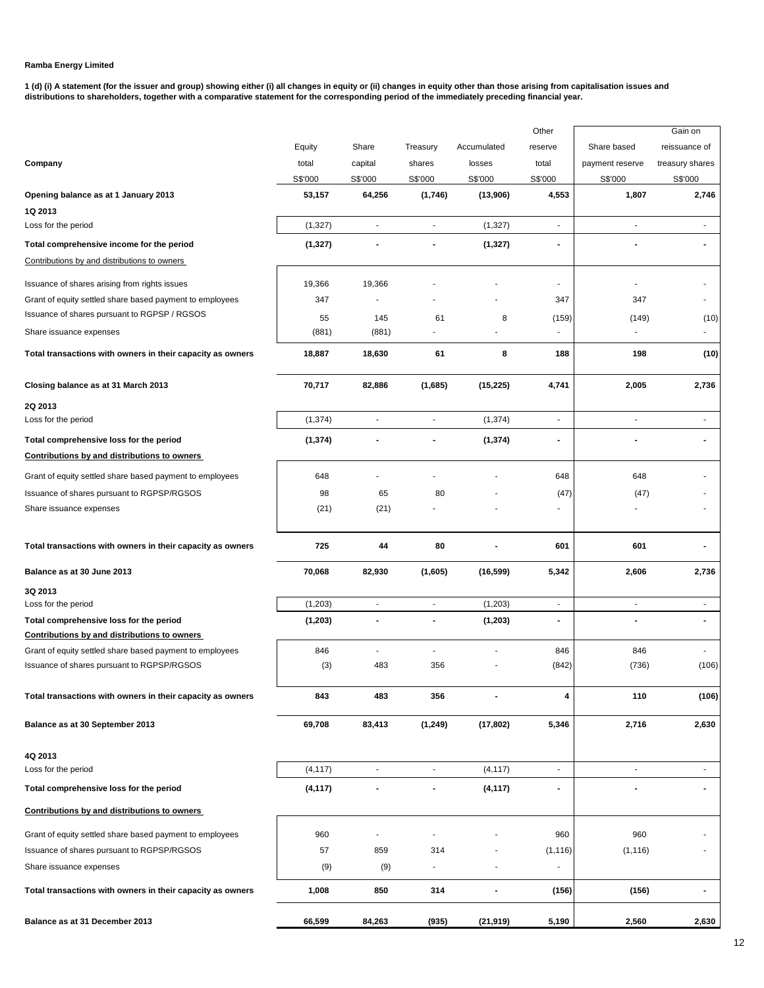|                                                                                                |          |                          |                          |                | Other          |                          | Gain on         |
|------------------------------------------------------------------------------------------------|----------|--------------------------|--------------------------|----------------|----------------|--------------------------|-----------------|
|                                                                                                | Equity   | Share                    | Treasury                 | Accumulated    | reserve        | Share based              | reissuance of   |
| Company                                                                                        | total    | capital                  | shares                   | losses         | total          | payment reserve          | treasury shares |
|                                                                                                | S\$'000  | S\$'000                  | S\$'000                  | S\$'000        | S\$'000        | S\$'000                  | S\$'000         |
| Opening balance as at 1 January 2013                                                           | 53,157   | 64,256                   | (1,746)                  | (13,906)       | 4,553          | 1,807                    | 2,746           |
| 1Q 2013                                                                                        |          |                          |                          |                |                |                          |                 |
| Loss for the period                                                                            | (1, 327) | ÷,                       | $\blacksquare$           | (1, 327)       | $\blacksquare$ | $\overline{\phantom{a}}$ | $\blacksquare$  |
| Total comprehensive income for the period                                                      | (1, 327) |                          |                          | (1, 327)       |                |                          |                 |
| Contributions by and distributions to owners                                                   |          |                          |                          |                |                |                          |                 |
| Issuance of shares arising from rights issues                                                  | 19,366   | 19,366                   |                          |                | $\blacksquare$ | $\blacksquare$           |                 |
| Grant of equity settled share based payment to employees                                       | 347      |                          |                          |                | 347            | 347                      |                 |
| Issuance of shares pursuant to RGPSP / RGSOS                                                   | 55       | 145                      | 61                       | 8              | (159)          | (149)                    | (10)            |
| Share issuance expenses                                                                        | (881)    | (881)                    | ٠                        |                |                |                          |                 |
| Total transactions with owners in their capacity as owners                                     | 18,887   | 18,630                   | 61                       | 8              | 188            | 198                      | (10)            |
| Closing balance as at 31 March 2013                                                            | 70,717   | 82,886                   | (1,685)                  | (15, 225)      | 4,741          | 2,005                    | 2,736           |
| 2Q 2013                                                                                        |          |                          |                          |                |                |                          |                 |
| Loss for the period                                                                            | (1, 374) | $\overline{\phantom{a}}$ | ÷,                       | (1, 374)       | $\blacksquare$ | $\blacksquare$           | ٠               |
| Total comprehensive loss for the period                                                        | (1, 374) |                          |                          | (1, 374)       |                |                          |                 |
| Contributions by and distributions to owners                                                   |          |                          |                          |                |                |                          |                 |
| Grant of equity settled share based payment to employees                                       | 648      |                          |                          |                | 648            | 648                      |                 |
| Issuance of shares pursuant to RGPSP/RGSOS                                                     | 98       | 65                       | 80                       |                | (47)           | (47)                     |                 |
| Share issuance expenses                                                                        | (21)     | (21)                     |                          |                | $\blacksquare$ |                          |                 |
| Total transactions with owners in their capacity as owners                                     | 725      | 44                       | 80                       |                | 601            | 601                      |                 |
| Balance as at 30 June 2013                                                                     | 70,068   | 82,930                   | (1,605)                  | (16, 599)      | 5,342          | 2,606                    | 2,736           |
| 3Q 2013                                                                                        |          |                          |                          |                |                |                          |                 |
| Loss for the period                                                                            | (1,203)  | $\blacksquare$           | $\blacksquare$           | (1, 203)       | $\sim$         | $\blacksquare$           | $\blacksquare$  |
| Total comprehensive loss for the period<br><b>Contributions by and distributions to owners</b> | (1, 203) | $\overline{\phantom{a}}$ | $\blacksquare$           | (1, 203)       | $\blacksquare$ | $\blacksquare$           | $\blacksquare$  |
| Grant of equity settled share based payment to employees                                       | 846      | $\blacksquare$           | $\blacksquare$           |                | 846            | 846                      |                 |
| Issuance of shares pursuant to RGPSP/RGSOS                                                     | (3)      | 483                      | 356                      |                | (842)          | (736)                    | (106)           |
| Total transactions with owners in their capacity as owners                                     | 843      | 483                      | 356                      | $\blacksquare$ | 4              | 110                      | (106)           |
| Balance as at 30 September 2013                                                                | 69,708   | 83,413                   | (1, 249)                 | (17, 802)      | 5,346          | 2,716                    | 2,630           |
| 4Q 2013                                                                                        |          |                          |                          |                |                |                          |                 |
| Loss for the period                                                                            | (4, 117) | $\overline{\phantom{a}}$ | $\overline{\phantom{a}}$ | (4, 117)       | $\blacksquare$ | $\blacksquare$           | $\blacksquare$  |
| Total comprehensive loss for the period                                                        | (4, 117) |                          | $\blacksquare$           | (4, 117)       | $\blacksquare$ |                          |                 |
| Contributions by and distributions to owners                                                   |          |                          |                          |                |                |                          |                 |
| Grant of equity settled share based payment to employees                                       | 960      |                          |                          |                | 960            | 960                      |                 |
| Issuance of shares pursuant to RGPSP/RGSOS                                                     | 57       | 859                      | 314                      |                | (1, 116)       | (1, 116)                 |                 |
| Share issuance expenses                                                                        | (9)      | (9)                      | $\blacksquare$           | ÷,             | $\blacksquare$ |                          |                 |
| Total transactions with owners in their capacity as owners                                     | 1,008    | 850                      | 314                      | $\blacksquare$ | (156)          | (156)                    | $\blacksquare$  |
| Balance as at 31 December 2013                                                                 | 66,599   | 84,263                   | (935)                    | (21, 919)      | 5,190          | 2,560                    | 2,630           |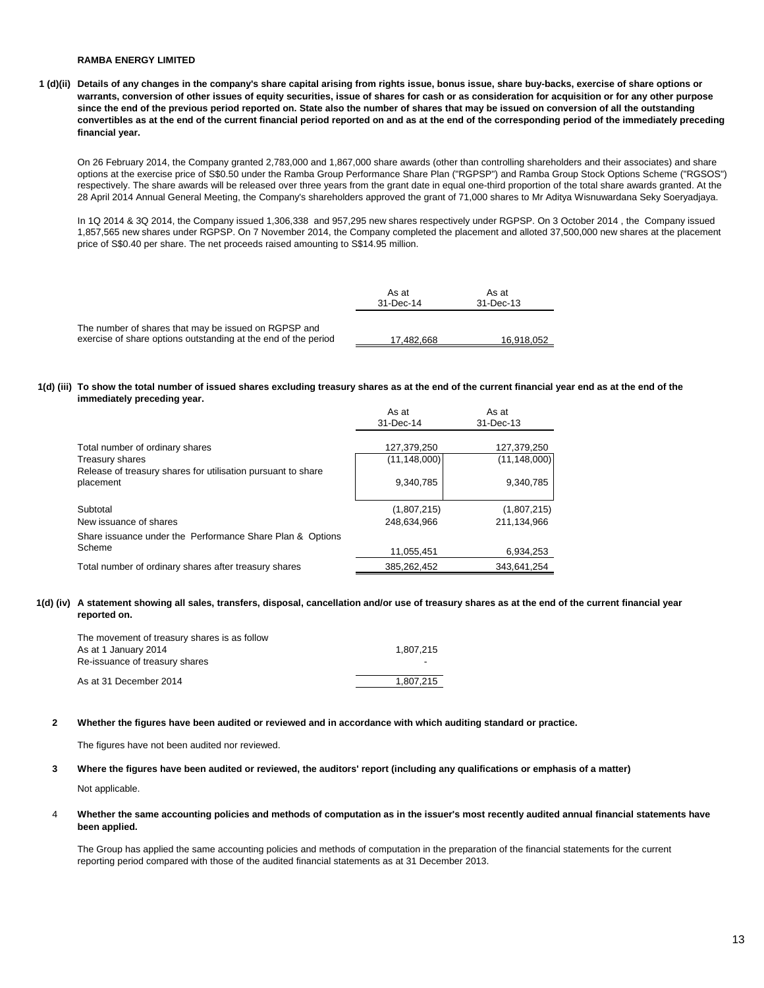**1 (d)(ii) Details of any changes in the company's share capital arising from rights issue, bonus issue, share buy-backs, exercise of share options or warrants, conversion of other issues of equity securities, issue of shares for cash or as consideration for acquisition or for any other purpose since the end of the previous period reported on. State also the number of shares that may be issued on conversion of all the outstanding convertibles as at the end of the current financial period reported on and as at the end of the corresponding period of the immediately preceding financial year.**

On 26 February 2014, the Company granted 2,783,000 and 1,867,000 share awards (other than controlling shareholders and their associates) and share options at the exercise price of S\$0.50 under the Ramba Group Performance Share Plan ("RGPSP") and Ramba Group Stock Options Scheme ("RGSOS") respectively. The share awards will be released over three years from the grant date in equal one-third proportion of the total share awards granted. At the 28 April 2014 Annual General Meeting, the Company's shareholders approved the grant of 71,000 shares to Mr Aditya Wisnuwardana Seky Soeryadjaya.

In 1Q 2014 & 3Q 2014, the Company issued 1,306,338 and 957,295 new shares respectively under RGPSP. On 3 October 2014 , the Company issued 1,857,565 new shares under RGPSP. On 7 November 2014, the Company completed the placement and alloted 37,500,000 new shares at the placement price of S\$0.40 per share. The net proceeds raised amounting to S\$14.95 million.

|                                                                                                                        | As at<br>31-Dec-14 | As at<br>31-Dec-13 |
|------------------------------------------------------------------------------------------------------------------------|--------------------|--------------------|
| The number of shares that may be issued on RGPSP and<br>exercise of share options outstanding at the end of the period | 17.482.668         | 16,918,052         |

#### **1(d) (iii) To show the total number of issued shares excluding treasury shares as at the end of the current financial year end as at the end of the immediately preceding year.**

|                                                                           | As at<br>31-Dec-14            | As at<br>31-Dec-13            |
|---------------------------------------------------------------------------|-------------------------------|-------------------------------|
| Total number of ordinary shares<br><b>Treasury shares</b>                 | 127,379,250<br>(11, 148, 000) | 127,379,250<br>(11, 148, 000) |
| Release of treasury shares for utilisation pursuant to share<br>placement | 9,340,785                     | 9,340,785                     |
| Subtotal                                                                  | (1,807,215)                   | (1,807,215)                   |
| New issuance of shares                                                    | 248,634,966                   | 211.134.966                   |
| Share issuance under the Performance Share Plan & Options                 |                               |                               |
| Scheme                                                                    | 11,055,451                    | 6,934,253                     |
| Total number of ordinary shares after treasury shares                     | 385,262,452                   | 343.641.254                   |

### **1(d) (iv) A statement showing all sales, transfers, disposal, cancellation and/or use of treasury shares as at the end of the current financial year reported on.**

| The movement of treasury shares is as follow |           |
|----------------------------------------------|-----------|
| As at 1 January 2014                         | 1.807.215 |
| Re-issuance of treasury shares               |           |
| As at 31 December 2014                       | 1.807.215 |

#### **2 Whether the figures have been audited or reviewed and in accordance with which auditing standard or practice.**

The figures have not been audited nor reviewed.

#### **3 Where the figures have been audited or reviewed, the auditors' report (including any qualifications or emphasis of a matter)**

Not applicable.

4 **Whether the same accounting policies and methods of computation as in the issuer's most recently audited annual financial statements have been applied.**

The Group has applied the same accounting policies and methods of computation in the preparation of the financial statements for the current reporting period compared with those of the audited financial statements as at 31 December 2013.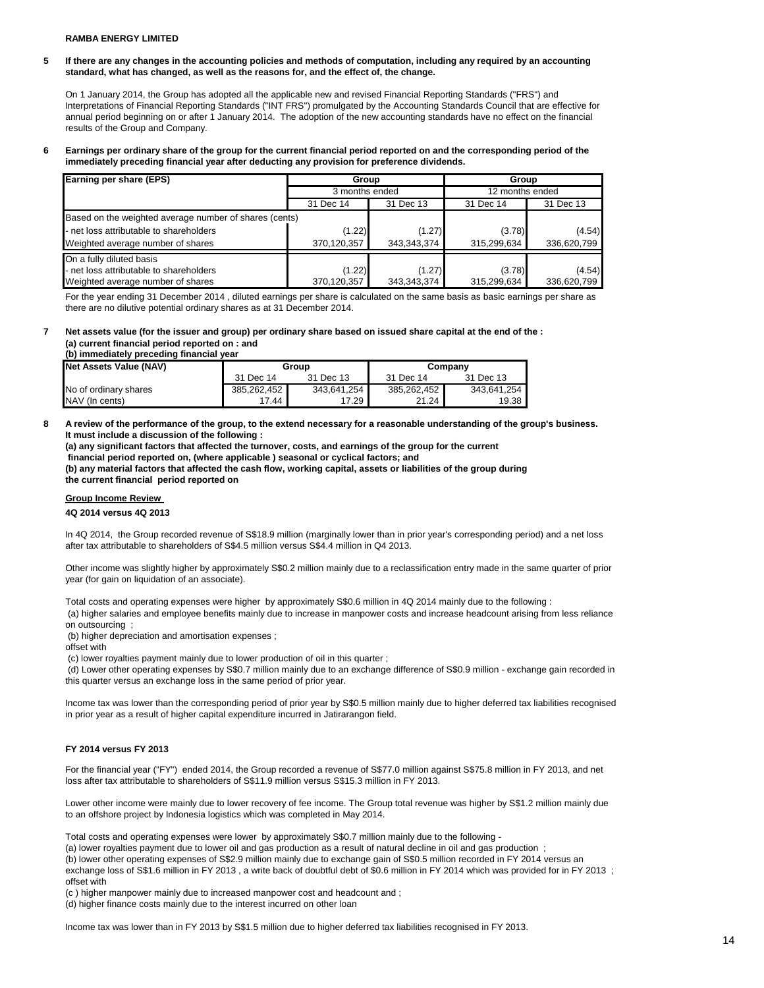**5 If there are any changes in the accounting policies and methods of computation, including any required by an accounting standard, what has changed, as well as the reasons for, and the effect of, the change.**

On 1 January 2014, the Group has adopted all the applicable new and revised Financial Reporting Standards ("FRS") and Interpretations of Financial Reporting Standards ("INT FRS") promulgated by the Accounting Standards Council that are effective for annual period beginning on or after 1 January 2014. The adoption of the new accounting standards have no effect on the financial results of the Group and Company.

#### **6 Earnings per ordinary share of the group for the current financial period reported on and the corresponding period of the immediately preceding financial year after deducting any provision for preference dividends.**

| Earning per share (EPS)                                | Group          |             | Group           |             |  |
|--------------------------------------------------------|----------------|-------------|-----------------|-------------|--|
|                                                        | 3 months ended |             | 12 months ended |             |  |
|                                                        | 31 Dec 14      | 31 Dec 13   | 31 Dec 14       | 31 Dec 13   |  |
| Based on the weighted average number of shares (cents) |                |             |                 |             |  |
| - net loss attributable to shareholders                | (1.22)         | (1.27)      | (3.78)          | (4.54)      |  |
| Weighted average number of shares                      | 370,120,357    | 343,343,374 | 315,299,634     | 336,620,799 |  |
| On a fully diluted basis                               |                |             |                 |             |  |
| - net loss attributable to shareholders                | (1.22)         | (1.27)      | (3.78)          | (4.54)      |  |
| Weighted average number of shares                      | 370,120,357    | 343,343,374 | 315,299,634     | 336,620,799 |  |

For the year ending 31 December 2014 , diluted earnings per share is calculated on the same basis as basic earnings per share as there are no dilutive potential ordinary shares as at 31 December 2014.

#### **7 Net assets value (for the issuer and group) per ordinary share based on issued share capital at the end of the : (a) current financial period reported on : and**

**(b) immediately preceding financial year** 

| Net Assets Value (NAV) | Group       |                    | Company     |             |
|------------------------|-------------|--------------------|-------------|-------------|
|                        | 31 Dec 14   | 31 Dec 13          | 31 Dec 14   | 31 Dec 13   |
| No of ordinary shares  | 385.262.452 | 343,641,254        | 385,262,452 | 343,641,254 |
| NAV (In cents)         | 17.44       | 17.29 <sub>1</sub> | 21.24       | 19.38       |

**8 A review of the performance of the group, to the extend necessary for a reasonable understanding of the group's business. It must include a discussion of the following :** 

**(a) any significant factors that affected the turnover, costs, and earnings of the group for the current financial period reported on, (where applicable ) seasonal or cyclical factors; and (b) any material factors that affected the cash flow, working capital, assets or liabilities of the group during the current financial period reported on** 

# **Group Income Review**

### **4Q 2014 versus 4Q 2013**

In 4Q 2014, the Group recorded revenue of S\$18.9 million (marginally lower than in prior year's corresponding period) and a net loss after tax attributable to shareholders of S\$4.5 million versus S\$4.4 million in Q4 2013.

Other income was slightly higher by approximately S\$0.2 million mainly due to a reclassification entry made in the same quarter of prior year (for gain on liquidation of an associate).

Total costs and operating expenses were higher by approximately S\$0.6 million in 4Q 2014 mainly due to the following : (a) higher salaries and employee benefits mainly due to increase in manpower costs and increase headcount arising from less reliance

on outsourcing ;

(b) higher depreciation and amortisation expenses ;

offset with

(c) lower royalties payment mainly due to lower production of oil in this quarter ;

 (d) Lower other operating expenses by S\$0.7 million mainly due to an exchange difference of S\$0.9 million - exchange gain recorded in this quarter versus an exchange loss in the same period of prior year.

Income tax was lower than the corresponding period of prior year by S\$0.5 million mainly due to higher deferred tax liabilities recognised in prior year as a result of higher capital expenditure incurred in Jatirarangon field.

### **FY 2014 versus FY 2013**

For the financial year ("FY") ended 2014, the Group recorded a revenue of S\$77.0 million against S\$75.8 million in FY 2013, and net loss after tax attributable to shareholders of S\$11.9 million versus S\$15.3 million in FY 2013.

Lower other income were mainly due to lower recovery of fee income. The Group total revenue was higher by S\$1.2 million mainly due to an offshore project by Indonesia logistics which was completed in May 2014.

Total costs and operating expenses were lower by approximately S\$0.7 million mainly due to the following -

(a) lower royalties payment due to lower oil and gas production as a result of natural decline in oil and gas production ;

(b) lower other operating expenses of S\$2.9 million mainly due to exchange gain of S\$0.5 million recorded in FY 2014 versus an

exchange loss of S\$1.6 million in FY 2013, a write back of doubtful debt of \$0.6 million in FY 2014 which was provided for in FY 2013; offset with

(c ) higher manpower mainly due to increased manpower cost and headcount and ;

(d) higher finance costs mainly due to the interest incurred on other loan

Income tax was lower than in FY 2013 by S\$1.5 million due to higher deferred tax liabilities recognised in FY 2013.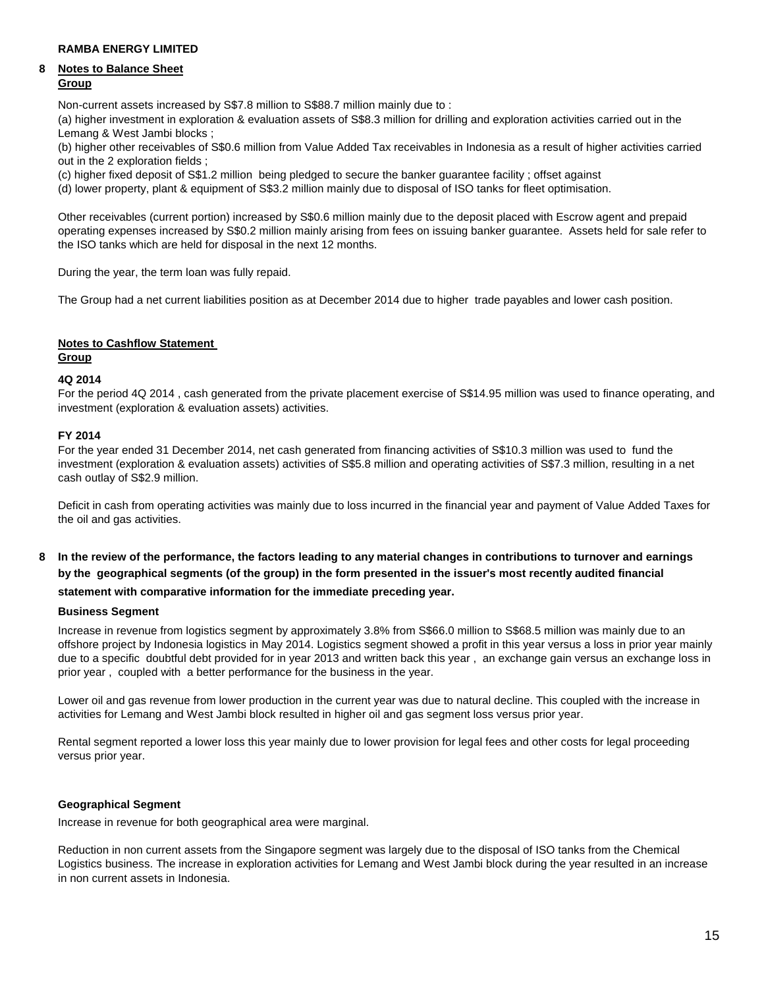# **8 Notes to Balance Sheet Group**

Non-current assets increased by S\$7.8 million to S\$88.7 million mainly due to :

(a) higher investment in exploration & evaluation assets of S\$8.3 million for drilling and exploration activities carried out in the Lemang & West Jambi blocks ;

(b) higher other receivables of S\$0.6 million from Value Added Tax receivables in Indonesia as a result of higher activities carried out in the 2 exploration fields ;

(c) higher fixed deposit of S\$1.2 million being pledged to secure the banker guarantee facility ; offset against

(d) lower property, plant & equipment of S\$3.2 million mainly due to disposal of ISO tanks for fleet optimisation.

Other receivables (current portion) increased by S\$0.6 million mainly due to the deposit placed with Escrow agent and prepaid operating expenses increased by S\$0.2 million mainly arising from fees on issuing banker guarantee. Assets held for sale refer to the ISO tanks which are held for disposal in the next 12 months.

During the year, the term loan was fully repaid.

The Group had a net current liabilities position as at December 2014 due to higher trade payables and lower cash position.

# **Notes to Cashflow Statement**

# **Group**

# **4Q 2014**

For the period 4Q 2014 , cash generated from the private placement exercise of S\$14.95 million was used to finance operating, and investment (exploration & evaluation assets) activities.

# **FY 2014**

For the year ended 31 December 2014, net cash generated from financing activities of S\$10.3 million was used to fund the investment (exploration & evaluation assets) activities of S\$5.8 million and operating activities of S\$7.3 million, resulting in a net cash outlay of S\$2.9 million.

Deficit in cash from operating activities was mainly due to loss incurred in the financial year and payment of Value Added Taxes for the oil and gas activities.

# **8 In the review of the performance, the factors leading to any material changes in contributions to turnover and earnings by the geographical segments (of the group) in the form presented in the issuer's most recently audited financial**

# **statement with comparative information for the immediate preceding year.**

### **Business Segment**

Increase in revenue from logistics segment by approximately 3.8% from S\$66.0 million to S\$68.5 million was mainly due to an offshore project by Indonesia logistics in May 2014. Logistics segment showed a profit in this year versus a loss in prior year mainly due to a specific doubtful debt provided for in year 2013 and written back this year , an exchange gain versus an exchange loss in prior year , coupled with a better performance for the business in the year.

Lower oil and gas revenue from lower production in the current year was due to natural decline. This coupled with the increase in activities for Lemang and West Jambi block resulted in higher oil and gas segment loss versus prior year.

Rental segment reported a lower loss this year mainly due to lower provision for legal fees and other costs for legal proceeding versus prior year.

# **Geographical Segment**

Increase in revenue for both geographical area were marginal.

Reduction in non current assets from the Singapore segment was largely due to the disposal of ISO tanks from the Chemical Logistics business. The increase in exploration activities for Lemang and West Jambi block during the year resulted in an increase in non current assets in Indonesia.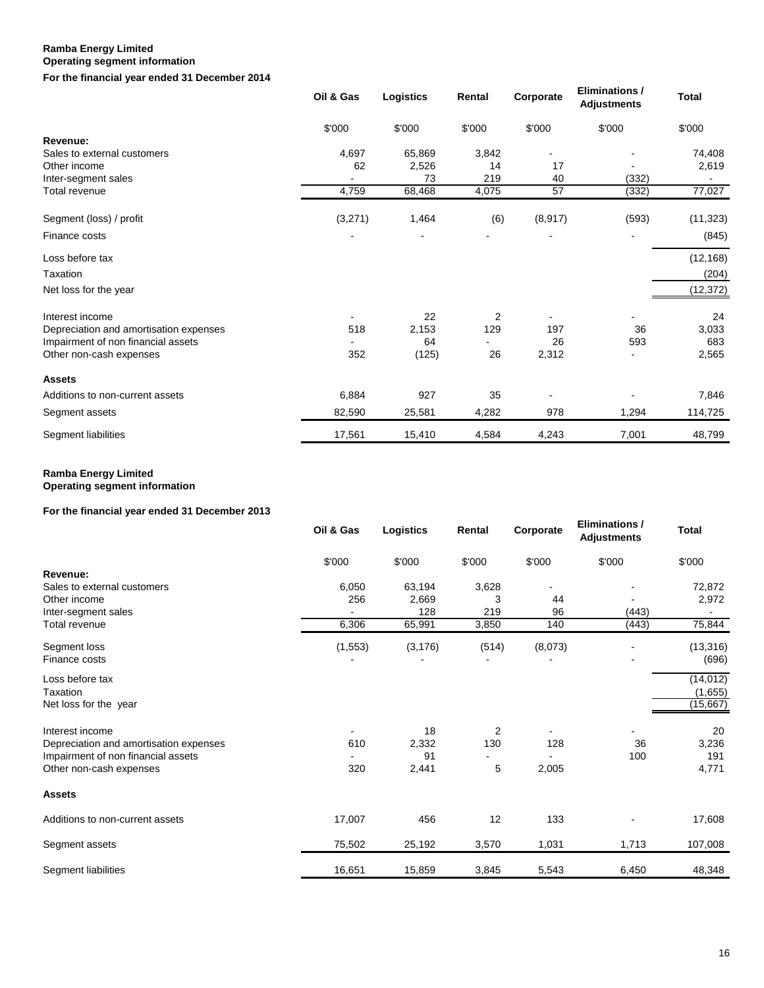# **Operating segment information**

**For the financial year ended 31 December 2014**

|                                        | Oil & Gas | Logistics | Rental         | Corporate | Eliminations /<br><b>Adjustments</b> | <b>Total</b> |
|----------------------------------------|-----------|-----------|----------------|-----------|--------------------------------------|--------------|
|                                        | \$'000    | \$'000    | \$'000         | \$'000    | \$'000                               | \$'000       |
| Revenue:                               |           |           |                |           |                                      |              |
| Sales to external customers            | 4,697     | 65,869    | 3,842          |           |                                      | 74,408       |
| Other income                           | 62        | 2,526     | 14             | 17        |                                      | 2,619        |
| Inter-segment sales                    |           | 73        | 219            | 40        | (332)                                |              |
| Total revenue                          | 4,759     | 68,468    | 4,075          | 57        | (332)                                | 77,027       |
| Segment (loss) / profit                | (3,271)   | 1,464     | (6)            | (8, 917)  | (593)                                | (11, 323)    |
| Finance costs                          |           |           |                |           |                                      | (845)        |
| Loss before tax                        |           |           |                |           |                                      | (12, 168)    |
| Taxation                               |           |           |                |           |                                      | (204)        |
| Net loss for the year                  |           |           |                |           |                                      | (12, 372)    |
| Interest income                        |           | 22        | $\overline{2}$ |           |                                      | 24           |
| Depreciation and amortisation expenses | 518       | 2,153     | 129            | 197       | 36                                   | 3,033        |
| Impairment of non financial assets     |           | 64        |                | 26        | 593                                  | 683          |
| Other non-cash expenses                | 352       | (125)     | 26             | 2,312     | $\blacksquare$                       | 2,565        |
| <b>Assets</b>                          |           |           |                |           |                                      |              |
| Additions to non-current assets        | 6,884     | 927       | 35             |           |                                      | 7,846        |
| Segment assets                         | 82,590    | 25,581    | 4,282          | 978       | 1,294                                | 114,725      |
| Segment liabilities                    | 17,561    | 15,410    | 4,584          | 4,243     | 7,001                                | 48,799       |

### **Ramba Energy Limited Operating segment information**

# **For the financial year ended 31 December 2013**

|                                        | Oil & Gas | Logistics | Rental | Corporate | Eliminations /<br><b>Adjustments</b> | <b>Total</b> |
|----------------------------------------|-----------|-----------|--------|-----------|--------------------------------------|--------------|
|                                        | \$'000    | \$'000    | \$'000 | \$'000    | \$'000                               | \$'000       |
| Revenue:                               |           |           |        |           |                                      |              |
| Sales to external customers            | 6,050     | 63,194    | 3,628  |           |                                      | 72,872       |
| Other income                           | 256       | 2,669     | 3      | 44        |                                      | 2,972        |
| Inter-segment sales                    |           | 128       | 219    | 96        | (443)                                |              |
| <b>Total revenue</b>                   | 6,306     | 65,991    | 3,850  | 140       | (443)                                | 75,844       |
| Segment loss                           | (1, 553)  | (3, 176)  | (514)  | (8,073)   |                                      | (13, 316)    |
| Finance costs                          |           |           |        |           |                                      | (696)        |
| Loss before tax                        |           |           |        |           |                                      | (14, 012)    |
| Taxation                               |           |           |        |           |                                      | (1,655)      |
| Net loss for the year                  |           |           |        |           |                                      | (15, 667)    |
| Interest income                        |           | 18        | 2      |           |                                      | 20           |
| Depreciation and amortisation expenses | 610       | 2,332     | 130    | 128       | 36                                   | 3,236        |
| Impairment of non financial assets     |           | 91        |        |           | 100                                  | 191          |
| Other non-cash expenses                | 320       | 2,441     | 5      | 2,005     |                                      | 4,771        |
| <b>Assets</b>                          |           |           |        |           |                                      |              |
| Additions to non-current assets        | 17,007    | 456       | 12     | 133       |                                      | 17,608       |
| Segment assets                         | 75,502    | 25,192    | 3,570  | 1,031     | 1,713                                | 107,008      |
| Segment liabilities                    | 16,651    | 15,859    | 3,845  | 5,543     | 6,450                                | 48,348       |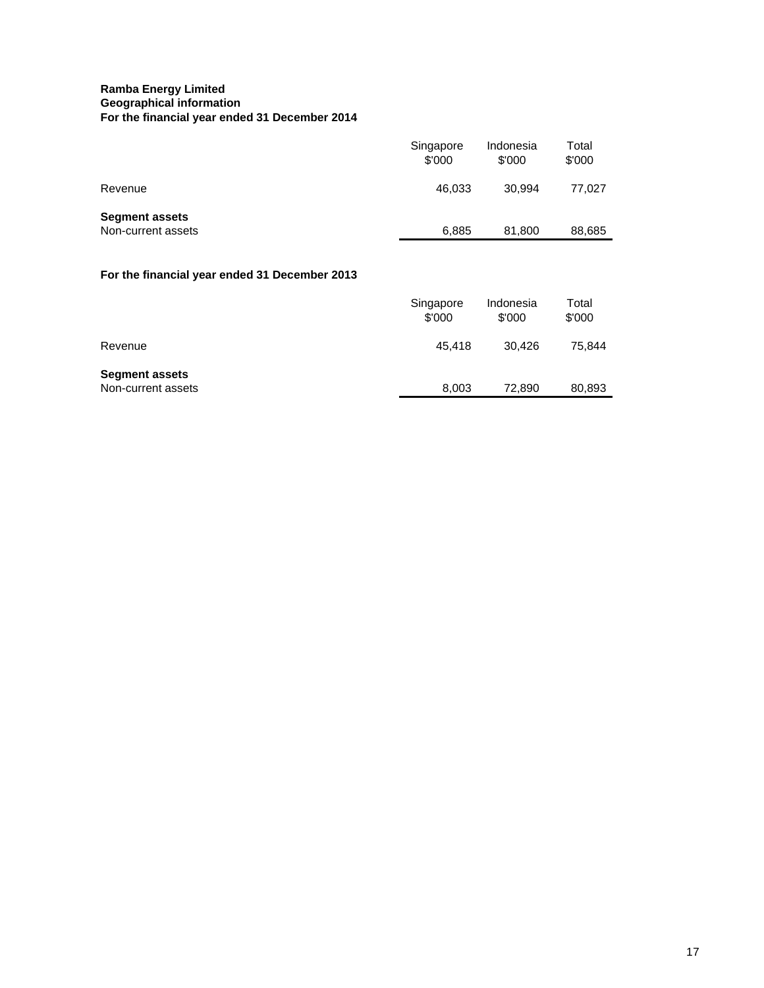# **Ramba Energy Limited Geographical information For the financial year ended 31 December 2014**

|                                               | Singapore<br>\$'000 | Indonesia<br>\$'000 | Total<br>\$'000 |
|-----------------------------------------------|---------------------|---------------------|-----------------|
| Revenue                                       | 46,033              | 30,994              | 77,027          |
| <b>Segment assets</b><br>Non-current assets   | 6,885               | 81,800              | 88,685          |
| For the financial year ended 31 December 2013 |                     |                     |                 |
|                                               | Singapore<br>\$'000 | Indonesia<br>\$'000 | Total<br>\$'000 |
| Revenue                                       | 45,418              | 30,426              | 75,844          |
| <b>Segment assets</b><br>Non-current assets   | 8,003               | 72,890              | 80,893          |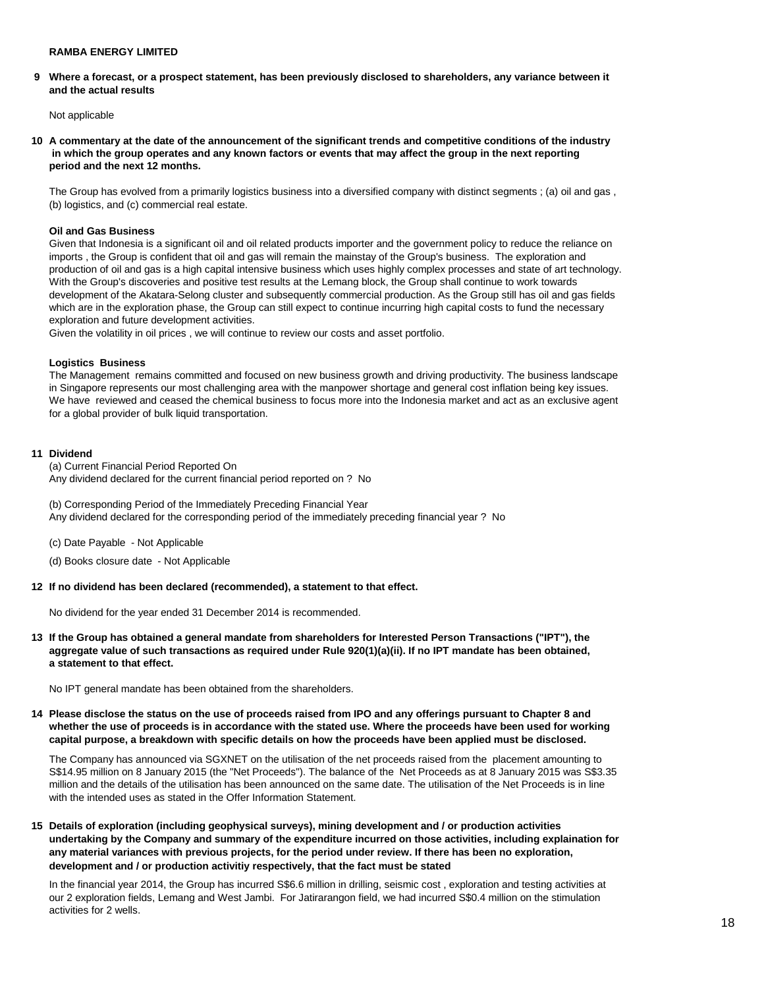**9 Where a forecast, or a prospect statement, has been previously disclosed to shareholders, any variance between it and the actual results** 

Not applicable

**10 A commentary at the date of the announcement of the significant trends and competitive conditions of the industry in which the group operates and any known factors or events that may affect the group in the next reporting period and the next 12 months.** 

The Group has evolved from a primarily logistics business into a diversified company with distinct segments ; (a) oil and gas , (b) logistics, and (c) commercial real estate.

### **Oil and Gas Business**

Given that Indonesia is a significant oil and oil related products importer and the government policy to reduce the reliance on imports , the Group is confident that oil and gas will remain the mainstay of the Group's business. The exploration and production of oil and gas is a high capital intensive business which uses highly complex processes and state of art technology. With the Group's discoveries and positive test results at the Lemang block, the Group shall continue to work towards development of the Akatara-Selong cluster and subsequently commercial production. As the Group still has oil and gas fields which are in the exploration phase, the Group can still expect to continue incurring high capital costs to fund the necessary exploration and future development activities.

Given the volatility in oil prices , we will continue to review our costs and asset portfolio.

### **Logistics Business**

The Management remains committed and focused on new business growth and driving productivity. The business landscape in Singapore represents our most challenging area with the manpower shortage and general cost inflation being key issues. We have reviewed and ceased the chemical business to focus more into the Indonesia market and act as an exclusive agent for a global provider of bulk liquid transportation.

### **11 Dividend**

(a) Current Financial Period Reported On Any dividend declared for the current financial period reported on ? No

(b) Corresponding Period of the Immediately Preceding Financial Year Any dividend declared for the corresponding period of the immediately preceding financial year ? No

- (c) Date Payable Not Applicable
- (d) Books closure date Not Applicable

### **12 If no dividend has been declared (recommended), a statement to that effect.**

No dividend for the year ended 31 December 2014 is recommended.

**13 If the Group has obtained a general mandate from shareholders for Interested Person Transactions ("IPT"), the aggregate value of such transactions as required under Rule 920(1)(a)(ii). If no IPT mandate has been obtained, a statement to that effect.** 

No IPT general mandate has been obtained from the shareholders.

**14 Please disclose the status on the use of proceeds raised from IPO and any offerings pursuant to Chapter 8 and whether the use of proceeds is in accordance with the stated use. Where the proceeds have been used for working capital purpose, a breakdown with specific details on how the proceeds have been applied must be disclosed.** 

The Company has announced via SGXNET on the utilisation of the net proceeds raised from the placement amounting to S\$14.95 million on 8 January 2015 (the "Net Proceeds"). The balance of the Net Proceeds as at 8 January 2015 was S\$3.35 million and the details of the utilisation has been announced on the same date. The utilisation of the Net Proceeds is in line with the intended uses as stated in the Offer Information Statement.

**15 Details of exploration (including geophysical surveys), mining development and / or production activities undertaking by the Company and summary of the expenditure incurred on those activities, including explaination for any material variances with previous projects, for the period under review. If there has been no exploration, development and / or production activitiy respectively, that the fact must be stated** 

In the financial year 2014, the Group has incurred S\$6.6 million in drilling, seismic cost, exploration and testing activities at our 2 exploration fields, Lemang and West Jambi. For Jatirarangon field, we had incurred S\$0.4 million on the stimulation activities for 2 wells.